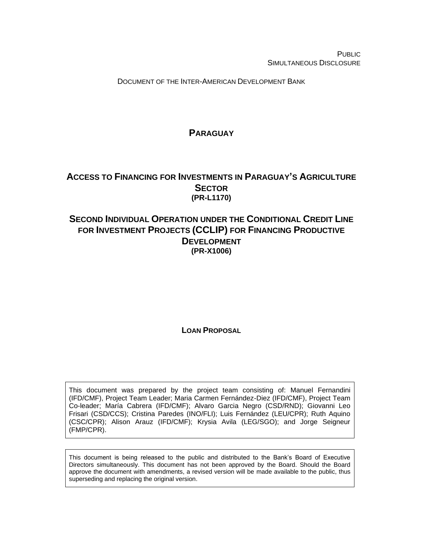PUBLIC SIMULTANEOUS DISCLOSURE

DOCUMENT OF THE INTER-AMERICAN DEVELOPMENT BANK

## **PARAGUAY**

## <span id="page-0-0"></span>**ACCESS TO FINANCING FOR INVESTMENTS IN PARAGUAY'S AGRICULTURE SECTOR (PR-L1170)**

# **SECOND INDIVIDUAL OPERATION UNDER THE CONDITIONAL CREDIT LINE FOR INVESTMENT PROJECTS (CCLIP) FOR FINANCING PRODUCTIVE DEVELOPMENT (PR-X1006)**

**LOAN PROPOSAL**

This document was prepared by the project team consisting of: Manuel Fernandini (IFD/CMF), Project Team Leader; Maria Carmen Fernández-Diez (IFD/CMF), Project Team Co-leader; María Cabrera (IFD/CMF); Alvaro Garcia Negro (CSD/RND); Giovanni Leo Frisari (CSD/CCS); Cristina Paredes (INO/FLI); Luis Fernández (LEU/CPR); Ruth Aquino (CSC/CPR); Alison Arauz (IFD/CMF); Krysia Avila (LEG/SGO); and Jorge Seigneur (FMP/CPR).

This document is being released to the public and distributed to the Bank's Board of Executive Directors simultaneously. This document has not been approved by the Board. Should the Board approve the document with amendments, a revised version will be made available to the public, thus superseding and replacing the original version.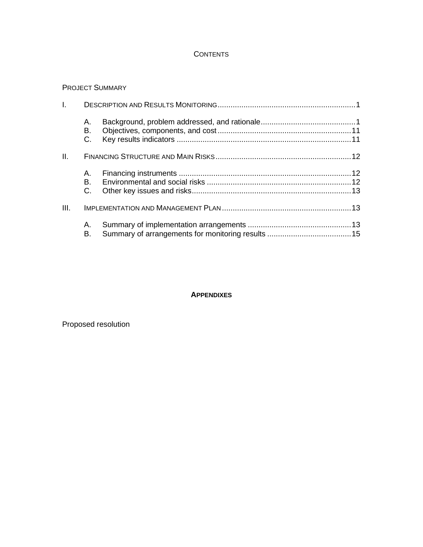## **CONTENTS**

## PROJECT SUMMARY

| I.   |                |  |  |  |  |  |  |  |  |  |  |  |  |
|------|----------------|--|--|--|--|--|--|--|--|--|--|--|--|
|      | А.<br>В.<br>C. |  |  |  |  |  |  |  |  |  |  |  |  |
| Ш.   |                |  |  |  |  |  |  |  |  |  |  |  |  |
|      | A.             |  |  |  |  |  |  |  |  |  |  |  |  |
|      | B.             |  |  |  |  |  |  |  |  |  |  |  |  |
|      | C.             |  |  |  |  |  |  |  |  |  |  |  |  |
| III. |                |  |  |  |  |  |  |  |  |  |  |  |  |
|      | А.             |  |  |  |  |  |  |  |  |  |  |  |  |
|      | В.             |  |  |  |  |  |  |  |  |  |  |  |  |
|      |                |  |  |  |  |  |  |  |  |  |  |  |  |

## **APPENDIXES**

Proposed resolution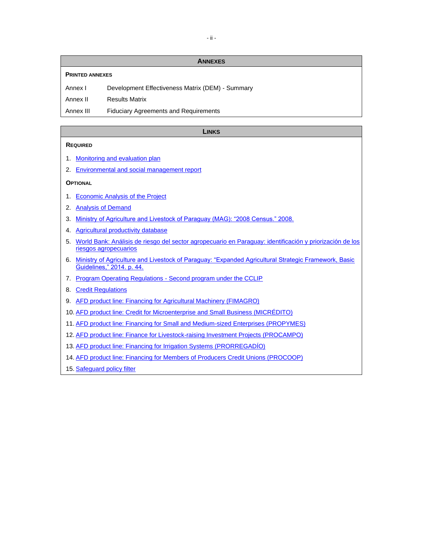#### **ANNEXES**

#### **PRINTED ANNEXES**

Annex I Development Effectiveness Matrix (DEM) - Summary

Annex II Results Matrix

Annex III Fiduciary Agreements and Requirements

#### **LINKS**

#### **REQUIRED**

- 1. [Monitoring and evaluation plan](http://idbdocs.iadb.org/wsdocs/getDocument.aspx?DOCNUM=EZSHARE-1527470111-2)
- 2. [Environmental and social management report](http://idbdocs.iadb.org/wsdocs/getDocument.aspx?DOCNUM=EZSHARE-1527470111-10)

#### **OPTIONAL**

- 1. [Economic Analysis of the Project](http://idbdocs.iadb.org/wsdocs/getDocument.aspx?Docnum=EZSHARE-1527470111-4)
- 2. [Analysis of Demand](http://idbdocs.iadb.org/wsdocs/getDocument.aspx?Docnum=EZSHARE-1527470111-3)
- 3. [Ministry of Agriculture and Livestock of Paraguay \(MAG\): "2008 Census." 2008.](http://www.mag.gov.py/Censo/Book%201.pdf)
- 4. [Agricultural productivity database](http://www.ers.usda.gov/data-products/international-agricultural-productivity.aspx)
- 5. [World Bank: Análisis de riesgo del sector agropecuario en Paraguay: identificación y priorización de los](http://www-wds.worldbank.org/external/default/WDSContentServer/WDSP/IB/2014/12/02/000456286_20141202094135/Rendered/PDF/928660WP0SPANI00Box385339B00PUBLIC0.pdf)  [riesgos agropecuarios](http://www-wds.worldbank.org/external/default/WDSContentServer/WDSP/IB/2014/12/02/000456286_20141202094135/Rendered/PDF/928660WP0SPANI00Box385339B00PUBLIC0.pdf)
- 6. [Ministry of Agriculture and Livestock of Paraguay: "Expanded Agricultural Strategic Framework, Basic](http://www.mag.gov.py/sigest_actas/Marco%20Ampliado.pdf)  [Guidelines," 2014. p. 44.](http://www.mag.gov.py/sigest_actas/Marco%20Ampliado.pdf)
- 7. Program Operating Regulations [Second program under the CCLIP](http://idbdocs.iadb.org/wsdocs/getDocument.aspx?DOCNUM=EZSHARE-1527470111-9)
- 8. [Credit Regulations](http://idbdocs.iadb.org/wsdocs/getDocument.aspx?DOCNUM=EZSHARE-1527470111-17)
- 9. [AFD product line: Financing for Agricultural Machinery \(FIMAGRO\)](http://idbdocs.iadb.org/wsdocs/getDocument.aspx?Docnum=EZSHARE-1527470111-11)
- 10. [AFD product line: Credit for Microenterprise and Small Business \(MICRÉDITO\)](http://idbdocs.iadb.org/wsdocs/getDocument.aspx?Docnum=EZSHARE-1527470111-17)
- 11. [AFD product line: Financing for Small and Medium-sized Enterprises \(PROPYMES\)](http://idbdocs.iadb.org/wsdocs/getDocument.aspx?Docnum=EZSHARE-1527470111-15)
- 12. [AFD product line: Finance for Livestock-raising Investment Projects \(PROCAMPO\)](http://idbdocs.iadb.org/wsdocs/getDocument.aspx?Docnum=EZSHARE-1527470111-13)
- 13. [AFD product line: Financing for Irrigation Systems \(PRORREGADÍO\)](http://idbdocs.iadb.org/wsdocs/getDocument.aspx?Docnum=EZSHARE-1527470111-16)
- 14. [AFD product line: Financing for Members of Producers Credit Unions \(PROCOOP\)](http://idbdocs.iadb.org/wsdocs/getDocument.aspx?Docnum=EZSHARE-1527470111-14)
- 15. [Safeguard policy filter](http://idbdocs.iadb.org/wsdocs/getDocument.aspx?Docnum=EZSHARE-1527470111-32)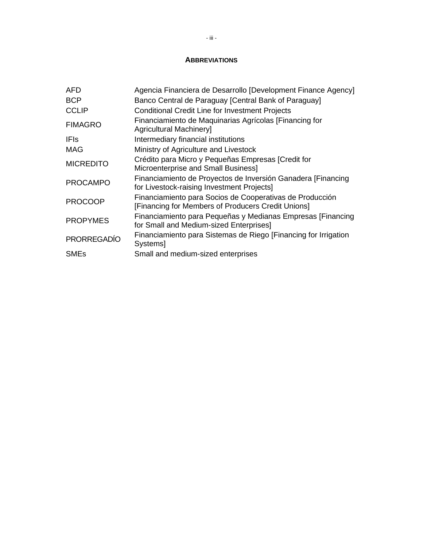## **ABBREVIATIONS**

| <b>AFD</b>         | Agencia Financiera de Desarrollo [Development Finance Agency]                                                  |
|--------------------|----------------------------------------------------------------------------------------------------------------|
| <b>BCP</b>         | Banco Central de Paraguay [Central Bank of Paraguay]                                                           |
| <b>CCLIP</b>       | <b>Conditional Credit Line for Investment Projects</b>                                                         |
| <b>FIMAGRO</b>     | Financiamiento de Maquinarias Agrícolas [Financing for<br><b>Agricultural Machineryl</b>                       |
| IFIs.              | Intermediary financial institutions                                                                            |
| MAG                | Ministry of Agriculture and Livestock                                                                          |
| <b>MICREDITO</b>   | Crédito para Micro y Pequeñas Empresas [Credit for<br>Microenterprise and Small Business]                      |
| <b>PROCAMPO</b>    | Financiamiento de Proyectos de Inversión Ganadera [Financing]<br>for Livestock-raising Investment Projects]    |
| <b>PROCOOP</b>     | Financiamiento para Socios de Cooperativas de Producción<br>[Financing for Members of Producers Credit Unions] |
| <b>PROPYMES</b>    | Financiamiento para Pequeñas y Medianas Empresas [Financing]<br>for Small and Medium-sized Enterprises]        |
| <b>PRORREGADÍO</b> | Financiamiento para Sistemas de Riego [Financing for Irrigation<br><b>Systems</b>                              |
| <b>SMEs</b>        | Small and medium-sized enterprises                                                                             |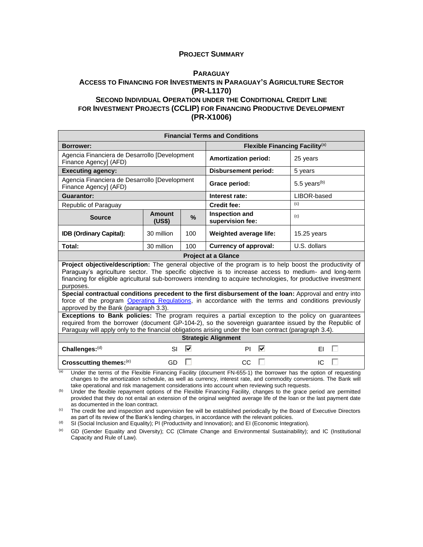#### **PROJECT SUMMARY**

#### **P[ARAGUAY](#page-0-0) ACCESS TO FINANCING FOR INVESTMENTS IN PARAGUAY'S AGRICULTURE SECTOR (PR-L1170) SECOND INDIVIDUAL OPERATION UNDER THE CONDITIONAL CREDIT LINE FOR INVESTMENT PROJECTS (CCLIP) FOR FINANCING PRODUCTIVE DEVELOPMENT (PR-X1006)**

| <b>Financial Terms and Conditions</b>                                                                                                                                                                                                                                                                                                           |                         |               |                                            |                 |  |  |  |  |  |  |  |
|-------------------------------------------------------------------------------------------------------------------------------------------------------------------------------------------------------------------------------------------------------------------------------------------------------------------------------------------------|-------------------------|---------------|--------------------------------------------|-----------------|--|--|--|--|--|--|--|
| <b>Borrower:</b>                                                                                                                                                                                                                                                                                                                                |                         |               | Flexible Financing Facility <sup>(a)</sup> |                 |  |  |  |  |  |  |  |
| Agencia Financiera de Desarrollo [Development<br>Finance Agency] (AFD)                                                                                                                                                                                                                                                                          |                         |               | <b>Amortization period:</b>                | 25 years        |  |  |  |  |  |  |  |
| <b>Executing agency:</b>                                                                                                                                                                                                                                                                                                                        |                         |               | <b>Disbursement period:</b>                | 5 years         |  |  |  |  |  |  |  |
| Agencia Financiera de Desarrollo [Development<br>Finance Agency] (AFD)                                                                                                                                                                                                                                                                          |                         |               | Grace period:                              | 5.5 years $(b)$ |  |  |  |  |  |  |  |
| <b>Guarantor:</b>                                                                                                                                                                                                                                                                                                                               |                         |               | Interest rate:                             | LIBOR-based     |  |  |  |  |  |  |  |
| Republic of Paraguay                                                                                                                                                                                                                                                                                                                            |                         |               | <b>Credit fee:</b>                         | (c)             |  |  |  |  |  |  |  |
| <b>Source</b>                                                                                                                                                                                                                                                                                                                                   | <b>Amount</b><br>(US\$) | $\frac{9}{6}$ | <b>Inspection and</b><br>supervision fee:  | (c)             |  |  |  |  |  |  |  |
| <b>IDB (Ordinary Capital):</b>                                                                                                                                                                                                                                                                                                                  | 30 million              | 100           | Weighted average life:                     | $15.25$ years   |  |  |  |  |  |  |  |
| Total:                                                                                                                                                                                                                                                                                                                                          | 30 million              | 100           | <b>Currency of approval:</b>               | U.S. dollars    |  |  |  |  |  |  |  |
|                                                                                                                                                                                                                                                                                                                                                 |                         |               | <b>Project at a Glance</b>                 |                 |  |  |  |  |  |  |  |
| Project objective/description: The general objective of the program is to help boost the productivity of<br>Paraguay's agriculture sector. The specific objective is to increase access to medium- and long-term<br>financing for eligible agricultural sub-borrowers intending to acquire technologies, for productive investment<br>purposes. |                         |               |                                            |                 |  |  |  |  |  |  |  |
| Special contractual conditions precedent to the first disbursement of the loan: Approval and entry into<br>force of the program Operating Regulations, in accordance with the terms and conditions previously<br>approved by the Bank (paragraph 3.3).                                                                                          |                         |               |                                            |                 |  |  |  |  |  |  |  |
| Exceptions to Bank policies: The program requires a partial exception to the policy on guarantees<br>required from the borrower (document GP-104-2), so the sovereign guarantee issued by the Republic of<br>Paraguay will apply only to the financial obligations arising under the loan contract (paragraph 3.4).                             |                         |               |                                            |                 |  |  |  |  |  |  |  |
|                                                                                                                                                                                                                                                                                                                                                 |                         |               | <b>Strategic Alignment</b>                 |                 |  |  |  |  |  |  |  |
| Challenges:(d)                                                                                                                                                                                                                                                                                                                                  | SI                      | ⊽             | ⊽<br>PI                                    | ΕL              |  |  |  |  |  |  |  |
| Crosscutting themes:(e)                                                                                                                                                                                                                                                                                                                         | <b>GD</b>               |               | CC                                         | IC              |  |  |  |  |  |  |  |

 $\overline{a}$  Under the terms of the Flexible Financing Facility (document FN-655-1) the borrower has the option of requesting changes to the amortization schedule, as well as currency, interest rate, and commodity conversions. The Bank will take operational and risk management considerations into account when reviewing such requests.

(b) Under the flexible repayment options of the Flexible Financing Facility, changes to the grace period are permitted provided that they do not entail an extension of the original weighted average life of the loan or the last payment date as documented in the loan contract.

<sup>(c)</sup> The credit fee and inspection and supervision fee will be established periodically by the Board of Executive Directors as part of its review of the Bank's lending charges, in accordance with the relevant policies.

 $<sup>(d)</sup>$  SI (Social Inclusion and Equality); PI (Productivity and Innovation); and EI (Economic Integration).</sup>

(e) GD (Gender Equality and Diversity); CC (Climate Change and Environmental Sustainability); and IC (Institutional Capacity and Rule of Law).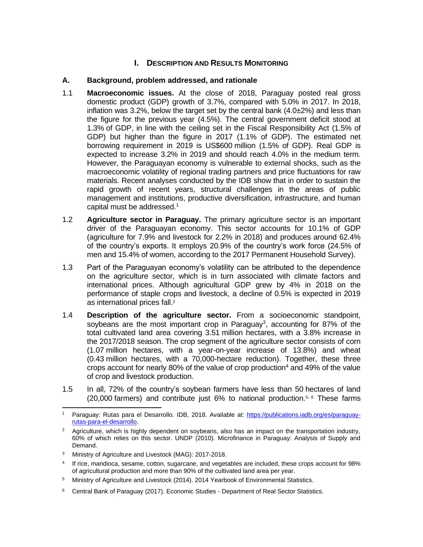## **I.** DESCRIPTION AND RESULTS MONITORING

## **A. Background, problem addressed, and rationale**

- 1.1 **Macroeconomic issues.** At the close of 2018, Paraguay posted real gross domestic product (GDP) growth of 3.7%, compared with 5.0% in 2017. In 2018, inflation was 3.2%, below the target set by the central bank  $(4.0\pm 2\%)$  and less than the figure for the previous year (4.5%). The central government deficit stood at 1.3% of GDP, in line with the ceiling set in the Fiscal Responsibility Act (1.5% of GDP) but higher than the figure in 2017 (1.1% of GDP). The estimated net borrowing requirement in 2019 is US\$600 million (1.5% of GDP). Real GDP is expected to increase 3.2% in 2019 and should reach 4.0% in the medium term. However, the Paraguayan economy is vulnerable to external shocks, such as the macroeconomic volatility of regional trading partners and price fluctuations for raw materials. Recent analyses conducted by the IDB show that in order to sustain the rapid growth of recent years, structural challenges in the areas of public management and institutions, productive diversification, infrastructure, and human capital must be addressed.<sup>1</sup>
- 1.2 **Agriculture sector in Paraguay.** The primary agriculture sector is an important driver of the Paraguayan economy. This sector accounts for 10.1% of GDP (agriculture for 7.9% and livestock for 2.2% in 2018) and produces around 62.4% of the country's exports. It employs 20.9% of the country's work force (24.5% of men and 15.4% of women, according to the 2017 Permanent Household Survey).
- 1.3 Part of the Paraguayan economy's volatility can be attributed to the dependence on the agriculture sector, which is in turn associated with climate factors and international prices. Although agricultural GDP grew by 4% in 2018 on the performance of staple crops and livestock, a decline of 0.5% is expected in 2019 as international prices fall. 2
- 1.4 **Description of the agriculture sector.** From a socioeconomic standpoint, soybeans are the most important crop in Paraguay<sup>3</sup>, accounting for 87% of the total cultivated land area covering 3.51 million hectares, with a 3.8% increase in the 2017/2018 season. The crop segment of the agriculture sector consists of corn (1.07 million hectares, with a year-on-year increase of 13.8%) and wheat (0.43 million hectares, with a 70,000-hectare reduction). Together, these three crops account for nearly 80% of the value of crop production<sup>4</sup> and 49% of the value of crop and livestock production.
- 1.5 In all, 72% of the country's soybean farmers have less than 50 hectares of land (20,000 farmers) and contribute just 6% to national production. <sup>5</sup>, <sup>6</sup> These farms

Paraguay: Rutas para el Desarrollo. IDB, 2018. Available at: [https://publications.iadb.org/es/paraguay](https://publications.iadb.org/es/paraguay-rutas-para-el-desarrollo)[rutas-para-el-desarrollo.](https://publications.iadb.org/es/paraguay-rutas-para-el-desarrollo)

<sup>&</sup>lt;sup>2</sup> Agriculture, which is highly dependent on sovbeans, also has an impact on the transportation industry, 60% of which relies on this sector. UNDP (2010). Microfinance in Paraguay: Analysis of Supply and Demand.

<sup>3</sup> Ministry of Agriculture and Livestock (MAG): 2017-2018.

<sup>4</sup> If rice, mandioca, sesame, cotton, sugarcane, and vegetables are included, these crops account for 98% of agricultural production and more than 90% of the cultivated land area per year.

<sup>5</sup> Ministry of Agriculture and Livestock (2014). 2014 Yearbook of Environmental Statistics.

<sup>&</sup>lt;sup>6</sup> Central Bank of Paraguay (2017). Economic Studies - Department of Real Sector Statistics.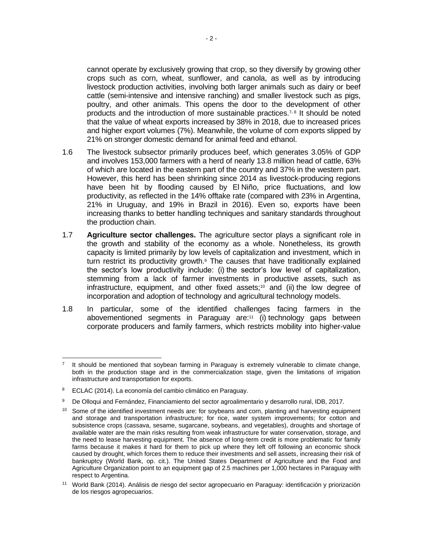cannot operate by exclusively growing that crop, so they diversify by growing other crops such as corn, wheat, sunflower, and canola, as well as by introducing livestock production activities, involving both larger animals such as dairy or beef cattle (semi-intensive and intensive ranching) and smaller livestock such as pigs, poultry, and other animals. This opens the door to the development of other products and the introduction of more sustainable practices.<sup>7,8</sup> It should be noted that the value of wheat exports increased by 38% in 2018, due to increased prices and higher export volumes (7%). Meanwhile, the volume of corn exports slipped by 21% on stronger domestic demand for animal feed and ethanol.

- 1.6 The livestock subsector primarily produces beef, which generates 3.05% of GDP and involves 153,000 farmers with a herd of nearly 13.8 million head of cattle, 63% of which are located in the eastern part of the country and 37% in the western part. However, this herd has been shrinking since 2014 as livestock-producing regions have been hit by flooding caused by El Niño, price fluctuations, and low productivity, as reflected in the 14% offtake rate (compared with 23% in Argentina, 21% in Uruguay, and 19% in Brazil in 2016). Even so, exports have been increasing thanks to better handling techniques and sanitary standards throughout the production chain.
- 1.7 **Agriculture sector challenges.** The agriculture sector plays a significant role in the growth and stability of the economy as a whole. Nonetheless, its growth capacity is limited primarily by low levels of capitalization and investment, which in turn restrict its productivity growth.<sup>9</sup> The causes that have traditionally explained the sector's low productivity include: (i) the sector's low level of capitalization, stemming from a lack of farmer investments in productive assets, such as infrastructure, equipment, and other fixed assets;<sup>10</sup> and (ii) the low degree of incorporation and adoption of technology and agricultural technology models.
- 1.8 In particular, some of the identified challenges facing farmers in the abovementioned segments in Paraguay are:<sup>11</sup> (i) technology gaps between corporate producers and family farmers, which restricts mobility into higher-value

<sup>7</sup> It should be mentioned that soybean farming in Paraguay is extremely vulnerable to climate change, both in the production stage and in the commercialization stage, given the limitations of irrigation infrastructure and transportation for exports.

<sup>8</sup> ECLAC (2014). La economía del cambio climático en Paraguay.

<sup>9</sup> De Olloqui and Fernández, Financiamiento del sector agroalimentario y desarrollo rural, IDB, 2017.

<sup>&</sup>lt;sup>10</sup> Some of the identified investment needs are: for soybeans and corn, planting and harvesting equipment and storage and transportation infrastructure; for rice, water system improvements; for cotton and subsistence crops (cassava, sesame, sugarcane, soybeans, and vegetables), droughts and shortage of available water are the main risks resulting from weak infrastructure for water conservation, storage, and the need to lease harvesting equipment. The absence of long-term credit is more problematic for family farms because it makes it hard for them to pick up where they left off following an economic shock caused by drought, which forces them to reduce their investments and sell assets, increasing their risk of bankruptcy (World Bank, op. cit.). The United States Department of Agriculture and the Food and Agriculture Organization point to an equipment gap of 2.5 machines per 1,000 hectares in Paraguay with respect to Argentina.

<sup>11</sup> World Bank (2014). Análisis de riesgo del sector agropecuario en Paraguay: identificación y priorización de los riesgos agropecuarios.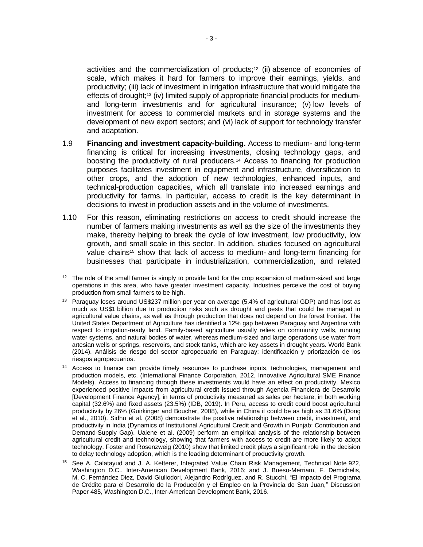activities and the commercialization of products;<sup>12</sup> (ii) absence of economies of scale, which makes it hard for farmers to improve their earnings, yields, and productivity; (iii) lack of investment in irrigation infrastructure that would mitigate the effects of drought;<sup>13</sup> (iv) limited supply of appropriate financial products for mediumand long-term investments and for agricultural insurance; (v) low levels of investment for access to commercial markets and in storage systems and the development of new export sectors; and (vi) lack of support for technology transfer and adaptation.

- 1.9 **Financing and investment capacity-building.** Access to medium- and long-term financing is critical for increasing investments, closing technology gaps, and boosting the productivity of rural producers.<sup>14</sup> Access to financing for production purposes facilitates investment in equipment and infrastructure, diversification to other crops, and the adoption of new technologies, enhanced inputs, and technical-production capacities, which all translate into increased earnings and productivity for farms. In particular, access to credit is the key determinant in decisions to invest in production assets and in the volume of investments.
- 1.10 For this reason, eliminating restrictions on access to credit should increase the number of farmers making investments as well as the size of the investments they make, thereby helping to break the cycle of low investment, low productivity, low growth, and small scale in this sector. In addition, studies focused on agricultural value chains<sup>15</sup> show that lack of access to medium- and long-term financing for businesses that participate in industrialization, commercialization, and related

<sup>&</sup>lt;sup>12</sup> The role of the small farmer is simply to provide land for the crop expansion of medium-sized and large operations in this area, who have greater investment capacity. Industries perceive the cost of buying production from small farmers to be high.

<sup>13</sup> Paraguay loses around US\$237 million per year on average (5.4% of agricultural GDP) and has lost as much as US\$1 billion due to production risks such as drought and pests that could be managed in agricultural value chains, as well as through production that does not depend on the forest frontier. The United States Department of Agriculture has identified a 12% gap between Paraguay and Argentina with respect to irrigation-ready land. Family-based agriculture usually relies on community wells, running water systems, and natural bodies of water, whereas medium-sized and large operations use water from artesian wells or springs, reservoirs, and stock tanks, which are key assets in drought years. World Bank (2014). Análisis de riesgo del sector agropecuario en Paraguay: identificación y priorización de los riesgos agropecuarios.

<sup>&</sup>lt;sup>14</sup> Access to finance can provide timely resources to purchase inputs, technologies, management and production models, etc. (International Finance Corporation, 2012, Innovative Agricultural SME Finance Models). Access to financing through these investments would have an effect on productivity. Mexico experienced positive impacts from agricultural credit issued through Agencia Financiera de Desarrollo [Development Finance Agency], in terms of productivity measured as sales per hectare, in both working capital (32.6%) and fixed assets (23.5%) (IDB, 2019). In Peru, access to credit could boost agricultural productivity by 26% (Guirkinger and Boucher, 2008), while in China it could be as high as 31.6% (Dong et al., 2010). Sidhu et al. (2008) demonstrate the positive relationship between credit, investment, and productivity in India (Dynamics of Institutional Agricultural Credit and Growth in Punjab: Contribution and Demand-Supply Gap). Uaiene et al. (2009) perform an empirical analysis of the relationship between agricultural credit and technology, showing that farmers with access to credit are more likely to adopt technology. Foster and Rosenzweig (2010) show that limited credit plays a significant role in the decision to delay technology adoption, which is the leading determinant of productivity growth.

<sup>15</sup> See A. Calatayud and J. A. Ketterer, Integrated Value Chain Risk Management, Technical Note 922, Washington D.C., Inter-American Development Bank, 2016; and J. Bueso-Merriam, F. Demichelis, M. C. Fernández Diez, David Giuliodori, Alejandro Rodríguez, and R. Stucchi, "El impacto del Programa de Crédito para el Desarrollo de la Producción y el Empleo en la Provincia de San Juan," Discussion Paper 485, Washington D.C., Inter-American Development Bank, 2016.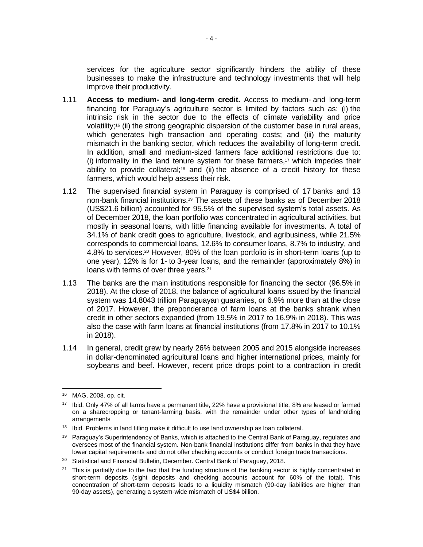services for the agriculture sector significantly hinders the ability of these businesses to make the infrastructure and technology investments that will help improve their productivity.

- 1.11 **Access to medium- and long-term credit.** Access to medium- and long-term financing for Paraguay's agriculture sector is limited by factors such as: (i) the intrinsic risk in the sector due to the effects of climate variability and price volatility;<sup>16</sup> (ii) the strong geographic dispersion of the customer base in rural areas, which generates high transaction and operating costs; and (iii) the maturity mismatch in the banking sector, which reduces the availability of long-term credit. In addition, small and medium-sized farmers face additional restrictions due to: (i) informality in the land tenure system for these farmers,<sup>17</sup> which impedes their ability to provide collateral;<sup>18</sup> and (ii) the absence of a credit history for these farmers, which would help assess their risk.
- 1.12 The supervised financial system in Paraguay is comprised of 17 banks and 13 non-bank financial institutions.<sup>19</sup> The assets of these banks as of December 2018 (US\$21.6 billion) accounted for 95.5% of the supervised system's total assets. As of December 2018, the loan portfolio was concentrated in agricultural activities, but mostly in seasonal loans, with little financing available for investments. A total of 34.1% of bank credit goes to agriculture, livestock, and agribusiness, while 21.5% corresponds to commercial loans, 12.6% to consumer loans, 8.7% to industry, and 4.8% to services.<sup>20</sup> However, 80% of the loan portfolio is in short-term loans (up to one year), 12% is for 1- to 3-year loans, and the remainder (approximately 8%) in loans with terms of over three years.<sup>21</sup>
- 1.13 The banks are the main institutions responsible for financing the sector (96.5% in 2018). At the close of 2018, the balance of agricultural loans issued by the financial system was 14.8043 trillion Paraguayan guaraníes, or 6.9% more than at the close of 2017. However, the preponderance of farm loans at the banks shrank when credit in other sectors expanded (from 19.5% in 2017 to 16.9% in 2018). This was also the case with farm loans at financial institutions (from 17.8% in 2017 to 10.1% in 2018).
- 1.14 In general, credit grew by nearly 26% between 2005 and 2015 alongside increases in dollar-denominated agricultural loans and higher international prices, mainly for soybeans and beef. However, recent price drops point to a contraction in credit

<sup>16</sup> MAG, 2008. op. cit.

<sup>17</sup> Ibid. Only 47% of all farms have a permanent title, 22% have a provisional title, 8% are leased or farmed on a sharecropping or tenant-farming basis, with the remainder under other types of landholding arrangements

<sup>&</sup>lt;sup>18</sup> Ibid. Problems in land titling make it difficult to use land ownership as loan collateral.

<sup>&</sup>lt;sup>19</sup> Paraguay's Superintendency of Banks, which is attached to the Central Bank of Paraguay, regulates and oversees most of the financial system. Non-bank financial institutions differ from banks in that they have lower capital requirements and do not offer checking accounts or conduct foreign trade transactions.

<sup>&</sup>lt;sup>20</sup> Statistical and Financial Bulletin, December. Central Bank of Paraguay, 2018.

 $21$  This is partially due to the fact that the funding structure of the banking sector is highly concentrated in short-term deposits (sight deposits and checking accounts account for 60% of the total). This concentration of short-term deposits leads to a liquidity mismatch (90-day liabilities are higher than 90-day assets), generating a system-wide mismatch of US\$4 billion.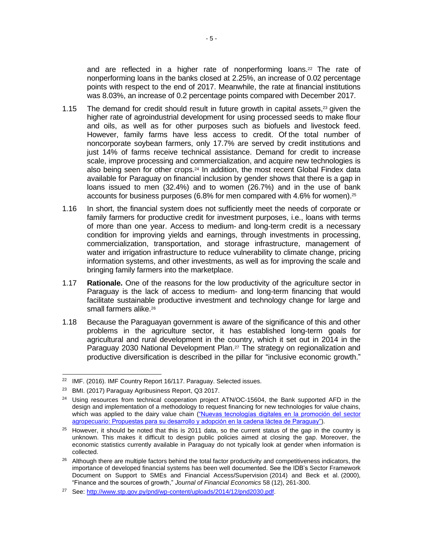and are reflected in a higher rate of nonperforming loans. $22$  The rate of nonperforming loans in the banks closed at 2.25%, an increase of 0.02 percentage points with respect to the end of 2017. Meanwhile, the rate at financial institutions was 8.03%, an increase of 0.2 percentage points compared with December 2017.

- 1.15 The demand for credit should result in future growth in capital assets, <sup>23</sup> given the higher rate of agroindustrial development for using processed seeds to make flour and oils, as well as for other purposes such as biofuels and livestock feed. However, family farms have less access to credit. Of the total number of noncorporate soybean farmers, only 17.7% are served by credit institutions and just 14% of farms receive technical assistance. Demand for credit to increase scale, improve processing and commercialization, and acquire new technologies is also being seen for other crops.<sup>24</sup> In addition, the most recent Global Findex data available for Paraguay on financial inclusion by gender shows that there is a gap in loans issued to men (32.4%) and to women (26.7%) and in the use of bank accounts for business purposes (6.8% for men compared with 4.6% for women). 25
- 1.16 In short, the financial system does not sufficiently meet the needs of corporate or family farmers for productive credit for investment purposes, i.e., loans with terms of more than one year. Access to medium- and long-term credit is a necessary condition for improving yields and earnings, through investments in processing, commercialization, transportation, and storage infrastructure, management of water and irrigation infrastructure to reduce vulnerability to climate change, pricing information systems, and other investments, as well as for improving the scale and bringing family farmers into the marketplace.
- 1.17 **Rationale.** One of the reasons for the low productivity of the agriculture sector in Paraguay is the lack of access to medium- and long-term financing that would facilitate sustainable productive investment and technology change for large and small farmers alike.<sup>26</sup>
- 1.18 Because the Paraguayan government is aware of the significance of this and other problems in the agriculture sector, it has established long-term goals for agricultural and rural development in the country, which it set out in 2014 in the Paraguay 2030 National Development Plan. <sup>27</sup> The strategy on regionalization and productive diversification is described in the pillar for "inclusive economic growth."

<sup>22</sup> IMF. (2016). IMF Country Report 16/117. Paraguay. Selected issues.

<sup>23</sup> BMI. (2017) Paraguay Agribusiness Report, Q3 2017.

<sup>&</sup>lt;sup>24</sup> Using resources from technical cooperation project ATN/OC-15604, the Bank supported AFD in the design and implementation of a methodology to request financing for new technologies for value chains, which was applied to the dairy value chain ("Nuevas tecnologías digitales en la promoción del sector [agropecuario: Propuestas para su desarrollo y adopción en la cadena láctea de Paraguay"\)](https://publications.iadb.org/es/publicacion/14113/nuevas-tecnologias-digitales-en-la-promocion-del-sector-agropecuario-propuestas).

<sup>&</sup>lt;sup>25</sup> However, it should be noted that this is 2011 data, so the current status of the gap in the country is unknown. This makes it difficult to design public policies aimed at closing the gap. Moreover, the economic statistics currently available in Paraguay do not typically look at gender when information is collected.

<sup>&</sup>lt;sup>26</sup> Although there are multiple factors behind the total factor productivity and competitiveness indicators, the importance of developed financial systems has been well documented. See the IDB's Sector Framework Document on Support to SMEs and Financial Access/Supervision (2014) and Beck et al. (2000), "Finance and the sources of growth," *Journal of Financial Economics* 58 (12), 261-300.

<sup>27</sup> See: [http://www.stp.gov.py/pnd/wp-content/uploads/2014/12/pnd2030.pdf.](http://www.stp.gov.py/pnd/wp-content/uploads/2014/12/pnd2030.pdf)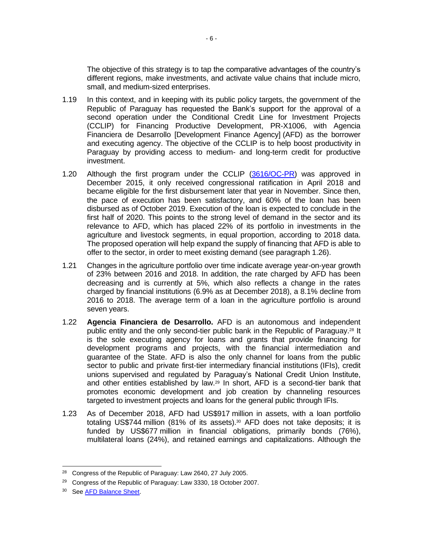The objective of this strategy is to tap the comparative advantages of the country's different regions, make investments, and activate value chains that include micro, small, and medium-sized enterprises.

- 1.19 In this context, and in keeping with its public policy targets, the government of the Republic of Paraguay has requested the Bank's support for the approval of a second operation under the Conditional Credit Line for Investment Projects (CCLIP) for Financing Productive Development, PR-X1006, with Agencia Financiera de Desarrollo [Development Finance Agency] (AFD) as the borrower and executing agency. The objective of the CCLIP is to help boost productivity in Paraguay by providing access to medium- and long-term credit for productive investment.
- 1.20 Although the first program under the CCLIP [\(3616/OC-PR\)](https://www.iadb.org/es/project/PR-L1095) was approved in December 2015, it only received congressional ratification in April 2018 and became eligible for the first disbursement later that year in November. Since then, the pace of execution has been satisfactory, and 60% of the loan has been disbursed as of October 2019. Execution of the loan is expected to conclude in the first half of 2020. This points to the strong level of demand in the sector and its relevance to AFD, which has placed 22% of its portfolio in investments in the agriculture and livestock segments, in equal proportion, according to 2018 data. The proposed operation will help expand the supply of financing that AFD is able to offer to the sector, in order to meet existing demand (see paragraph 1.26).
- 1.21 Changes in the agriculture portfolio over time indicate average year-on-year growth of 23% between 2016 and 2018. In addition, the rate charged by AFD has been decreasing and is currently at 5%, which also reflects a change in the rates charged by financial institutions (6.9% as at December 2018), a 8.1% decline from 2016 to 2018. The average term of a loan in the agriculture portfolio is around seven years.
- 1.22 **Agencia Financiera de Desarrollo.** AFD is an autonomous and independent public entity and the only second-tier public bank in the Republic of Paraguay. <sup>28</sup> It is the sole executing agency for loans and grants that provide financing for development programs and projects, with the financial intermediation and guarantee of the State. AFD is also the only channel for loans from the public sector to public and private first-tier intermediary financial institutions (IFIs), credit unions supervised and regulated by Paraguay's National Credit Union Institute, and other entities established by law.<sup>29</sup> In short, AFD is a second-tier bank that promotes economic development and job creation by channeling resources targeted to investment projects and loans for the general public through IFIs.
- 1.23 As of December 2018, AFD had US\$917 million in assets, with a loan portfolio totaling US\$744 million (81% of its assets). <sup>30</sup> AFD does not take deposits; it is funded by US\$677 million in financial obligations, primarily bonds (76%), multilateral loans (24%), and retained earnings and capitalizations. Although the

<sup>&</sup>lt;sup>28</sup> Congress of the Republic of Paraguay: Law 2640, 27 July 2005.

<sup>&</sup>lt;sup>29</sup> Congress of the Republic of Paraguay: Law 3330, 18 October 2007.

<sup>30</sup> See [AFD Balance Sheet.](https://afd.gov.py/informes-financieros-i13)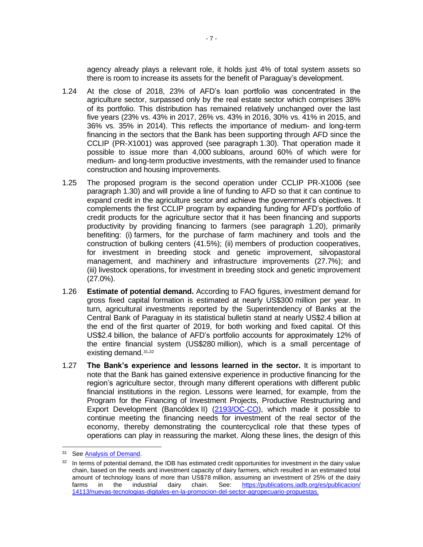agency already plays a relevant role, it holds just 4% of total system assets so there is room to increase its assets for the benefit of Paraguay's development.

- 1.24 At the close of 2018, 23% of AFD's loan portfolio was concentrated in the agriculture sector, surpassed only by the real estate sector which comprises 38% of its portfolio. This distribution has remained relatively unchanged over the last five years (23% vs. 43% in 2017, 26% vs. 43% in 2016, 30% vs. 41% in 2015, and 36% vs. 35% in 2014). This reflects the importance of medium- and long-term financing in the sectors that the Bank has been supporting through AFD since the CCLIP (PR-X1001) was approved (see paragraph 1.30). That operation made it possible to issue more than 4,000 subloans, around 60% of which were for medium- and long-term productive investments, with the remainder used to finance construction and housing improvements.
- 1.25 The proposed program is the second operation under CCLIP PR-X1006 (see paragraph 1.30) and will provide a line of funding to AFD so that it can continue to expand credit in the agriculture sector and achieve the government's objectives. It complements the first CCLIP program by expanding funding for AFD's portfolio of credit products for the agriculture sector that it has been financing and supports productivity by providing financing to farmers (see paragraph 1.20), primarily benefiting: (i) farmers, for the purchase of farm machinery and tools and the construction of bulking centers (41.5%); (ii) members of production cooperatives, for investment in breeding stock and genetic improvement, silvopastoral management, and machinery and infrastructure improvements (27.7%); and (iii) livestock operations, for investment in breeding stock and genetic improvement (27.0%).
- 1.26 **Estimate of potential demand.** According to FAO figures, investment demand for gross fixed capital formation is estimated at nearly US\$300 million per year. In turn, agricultural investments reported by the Superintendency of Banks at the Central Bank of Paraguay in its statistical bulletin stand at nearly US\$2.4 billion at the end of the first quarter of 2019, for both working and fixed capital. Of this US\$2.4 billion, the balance of AFD's portfolio accounts for approximately 12% of the entire financial system (US\$280 million), which is a small percentage of existing demand.31,<sup>32</sup>
- 1.27 **The Bank's experience and lessons learned in the sector.** It is important to note that the Bank has gained extensive experience in productive financing for the region's agriculture sector, through many different operations with different public financial institutions in the region. Lessons were learned, for example, from the Program for the Financing of Investment Projects, Productive Restructuring and Export Development (Bancóldex II) [\(2193/OC-CO\)](http://www.iadb.org/en/projects/project-description-title,1303.html?id=CO-L1082), which made it possible to continue meeting the financing needs for investment of the real sector of the economy, thereby demonstrating the countercyclical role that these types of operations can play in reassuring the market. Along these lines, the design of this

<sup>31</sup> See [Analysis of Demand.](http://idbdocs.iadb.org/wsdocs/getDocument.aspx?Docnum=EZSHARE-1527470111-3)

<sup>&</sup>lt;sup>32</sup> In terms of potential demand, the IDB has estimated credit opportunities for investment in the dairy value chain, based on the needs and investment capacity of dairy farmers, which resulted in an estimated total amount of technology loans of more than US\$78 million, assuming an investment of 25% of the dairy farms in the industrial dairy chain. See: [https://publications.iadb.org/es/publicacion/](https://publications.iadb.org/es/publicacion/14113/nuevas-tecnologias-digitales-en-la-promocion-del-sector-agropecuario-propuestas) [14113/nuevas-tecnologias-digitales-en-la-promocion-del-sector-agropecuario-propuestas.](https://publications.iadb.org/es/publicacion/14113/nuevas-tecnologias-digitales-en-la-promocion-del-sector-agropecuario-propuestas)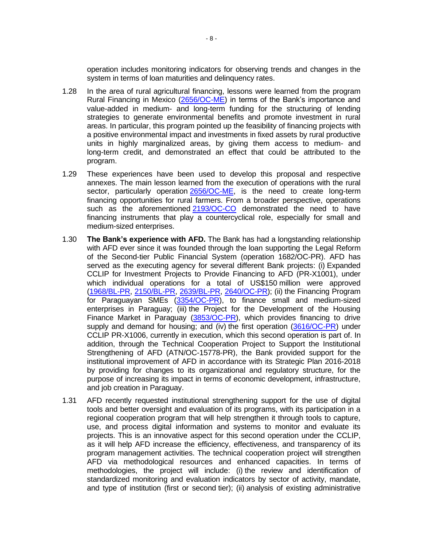operation includes monitoring indicators for observing trends and changes in the system in terms of loan maturities and delinquency rates.

- 1.28 In the area of rural agricultural financing, lessons were learned from the program Rural Financing in Mexico [\(2656/OC-ME\)](http://www.iadb.org/en/projects/project-description-title,1303.html?id=ME-L1055) in terms of the Bank's importance and value-added in medium- and long-term funding for the structuring of lending strategies to generate environmental benefits and promote investment in rural areas. In particular, this program pointed up the feasibility of financing projects with a positive environmental impact and investments in fixed assets by rural productive units in highly marginalized areas, by giving them access to medium- and long-term credit, and demonstrated an effect that could be attributed to the program.
- 1.29 These experiences have been used to develop this proposal and respective annexes. The main lesson learned from the execution of operations with the rural sector, particularly operation [2656/OC-ME,](http://www.iadb.org/en/projects/project-description-title,1303.html?id=ME-L1055) is the need to create long-term financing opportunities for rural farmers. From a broader perspective, operations such as the aforementioned [2193/OC-CO](http://www.iadb.org/en/projects/project-description-title,1303.html?id=CO-L1082) demonstrated the need to have financing instruments that play a countercyclical role, especially for small and medium-sized enterprises.
- 1.30 **The Bank's experience with AFD.** The Bank has had a longstanding relationship with AFD ever since it was founded through the loan supporting the Legal Reform of the Second-tier Public Financial System (operation [1682/OC-PR\)](http://www.iadb.org/en/projects/project-description-title,1303.html?id=PR-L1012). AFD has served as the executing agency for several different Bank projects: (i) Expanded CCLIP for Investment Projects to Provide Financing to AFD (PR-X1001), under which individual operations for a total of US\$150 million were approved [\(1968/BL-PR,](http://www.iadb.org/en/projects/project-description-title,1303.html?id=PR-L1024) [2150/BL-PR,](http://www.iadb.org/en/projects/project-description-title,1303.html?id=PR-L1032) [2639/BL-PR, 2640/OC-PR\)](http://www.iadb.org/en/projects/project-description-title,1303.html?id=PR-L1062); (ii) the Financing Program for Paraguayan SMEs [\(3354/OC-PR\)](http://www.iadb.org/en/projects/project-description-title,1303.html?id=PR-L1081), to finance small and medium-sized enterprises in Paraguay; (iii) the Project for the Development of the Housing Finance Market in Paraguay [\(3853/OC-PR\)](https://www.iadb.org/es/project/PR-L1140), which provides financing to drive supply and demand for housing; and (iv) the first operation [\(3616/OC-PR\)](https://www.iadb.org/es/project/PR-L1095) under CCLIP PR-X1006, currently in execution, which this second operation is part of. In addition, through the Technical Cooperation Project to Support the Institutional Strengthening of AFD (ATN/OC-15778-PR), the Bank provided support for the institutional improvement of AFD in accordance with its Strategic Plan 2016-2018 by providing for changes to its organizational and regulatory structure, for the purpose of increasing its impact in terms of economic development, infrastructure, and job creation in Paraguay.
- 1.31 AFD recently requested institutional strengthening support for the use of digital tools and better oversight and evaluation of its programs, with its participation in a regional cooperation program that will help strengthen it through tools to capture, use, and process digital information and systems to monitor and evaluate its projects. This is an innovative aspect for this second operation under the CCLIP, as it will help AFD increase the efficiency, effectiveness, and transparency of its program management activities. The technical cooperation project will strengthen AFD via methodological resources and enhanced capacities. In terms of methodologies, the project will include: (i) the review and identification of standardized monitoring and evaluation indicators by sector of activity, mandate, and type of institution (first or second tier); (ii) analysis of existing administrative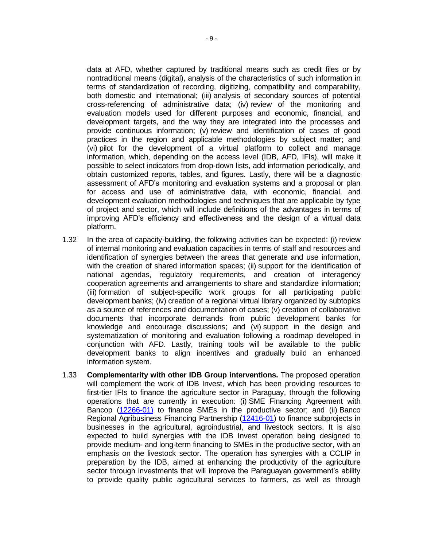data at AFD, whether captured by traditional means such as credit files or by nontraditional means (digital), analysis of the characteristics of such information in terms of standardization of recording, digitizing, compatibility and comparability, both domestic and international; (iii) analysis of secondary sources of potential cross-referencing of administrative data; (iv) review of the monitoring and evaluation models used for different purposes and economic, financial, and development targets, and the way they are integrated into the processes and provide continuous information; (v) review and identification of cases of good practices in the region and applicable methodologies by subject matter; and (vi) pilot for the development of a virtual platform to collect and manage information, which, depending on the access level (IDB, AFD, IFIs), will make it possible to select indicators from drop-down lists, add information periodically, and obtain customized reports, tables, and figures. Lastly, there will be a diagnostic assessment of AFD's monitoring and evaluation systems and a proposal or plan for access and use of administrative data, with economic, financial, and development evaluation methodologies and techniques that are applicable by type of project and sector, which will include definitions of the advantages in terms of improving AFD's efficiency and effectiveness and the design of a virtual data platform.

- 1.32 In the area of capacity-building, the following activities can be expected: (i) review of internal monitoring and evaluation capacities in terms of staff and resources and identification of synergies between the areas that generate and use information, with the creation of shared information spaces; (ii) support for the identification of national agendas, regulatory requirements, and creation of interagency cooperation agreements and arrangements to share and standardize information; (iii) formation of subject-specific work groups for all participating public development banks; (iv) creation of a regional virtual library organized by subtopics as a source of references and documentation of cases; (v) creation of collaborative documents that incorporate demands from public development banks for knowledge and encourage discussions; and (vi) support in the design and systematization of monitoring and evaluation following a roadmap developed in conjunction with AFD. Lastly, training tools will be available to the public development banks to align incentives and gradually build an enhanced information system.
- 1.33 **Complementarity with other IDB Group interventions.** The proposed operation will complement the work of IDB Invest, which has been providing resources to first-tier IFIs to finance the agriculture sector in Paraguay, through the following operations that are currently in execution: (i) SME Financing Agreement with Bancop [\(12266-01\)](https://www.idbinvest.org/es/projects/acuerdo-de-financiamiento-pyme-con-bancop) to finance SMEs in the productive sector; and (ii) Banco Regional Agribusiness Financing Partnership [\(12416-01\)](https://www.idbinvest.org/es/projects/banco-regional-agribusiness-financing-partnership) to finance subprojects in businesses in the agricultural, agroindustrial, and livestock sectors. It is also expected to build synergies with the IDB Invest operation being designed to provide medium- and long-term financing to SMEs in the productive sector, with an emphasis on the livestock sector. The operation has synergies with a CCLIP in preparation by the IDB, aimed at enhancing the productivity of the agriculture sector through investments that will improve the Paraguayan government's ability to provide quality public agricultural services to farmers, as well as through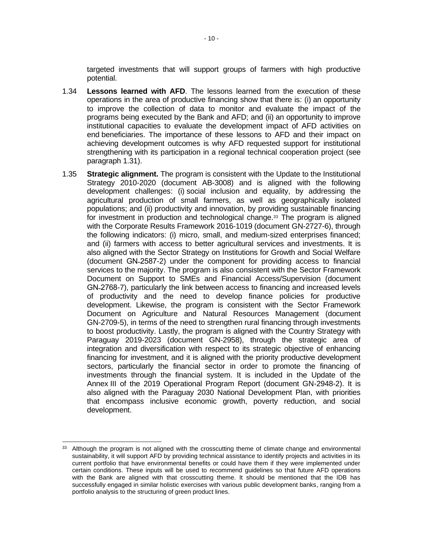targeted investments that will support groups of farmers with high productive potential.

- 1.34 **Lessons learned with AFD**. The lessons learned from the execution of these operations in the area of productive financing show that there is: (i) an opportunity to improve the collection of data to monitor and evaluate the impact of the programs being executed by the Bank and AFD; and (ii) an opportunity to improve institutional capacities to evaluate the development impact of AFD activities on end beneficiaries. The importance of these lessons to AFD and their impact on achieving development outcomes is why AFD requested support for institutional strengthening with its participation in a regional technical cooperation project (see paragraph 1.31).
- 1.35 **Strategic alignment.** The program is consistent with the Update to the Institutional Strategy 2010-2020 (document AB-3008) and is aligned with the following development challenges: (i) social inclusion and equality, by addressing the agricultural production of small farmers, as well as geographically isolated populations; and (ii) productivity and innovation, by providing sustainable financing for investment in production and technological change.<sup>33</sup> The program is aligned with the Corporate Results Framework 2016-1019 (document GN-2727-6), through the following indicators: (i) micro, small, and medium-sized enterprises financed; and (ii) farmers with access to better agricultural services and investments. It is also aligned with the Sector Strategy on Institutions for Growth and Social Welfare (document GN˗2587-2) under the component for providing access to financial services to the majority. The program is also consistent with the Sector Framework Document on Support to SMEs and Financial Access/Supervision (document GN-2768-7), particularly the link between access to financing and increased levels of productivity and the need to develop finance policies for productive development. Likewise, the program is consistent with the Sector Framework Document on Agriculture and Natural Resources Management (document GN-2709-5), in terms of the need to strengthen rural financing through investments to boost productivity. Lastly, the program is aligned with the Country Strategy with Paraguay 2019-2023 (document GN-2958), through the strategic area of integration and diversification with respect to its strategic objective of enhancing financing for investment, and it is aligned with the priority productive development sectors, particularly the financial sector in order to promote the financing of investments through the financial system. It is included in the Update of the Annex III of the 2019 Operational Program Report (document GN-2948-2). It is also aligned with the Paraguay 2030 National Development Plan, with priorities that encompass inclusive economic growth, poverty reduction, and social development.

<sup>33</sup> Although the program is not aligned with the crosscutting theme of climate change and environmental sustainability, it will support AFD by providing technical assistance to identify projects and activities in its current portfolio that have environmental benefits or could have them if they were implemented under certain conditions. These inputs will be used to recommend guidelines so that future AFD operations with the Bank are aligned with that crosscutting theme. It should be mentioned that the IDB has successfully engaged in similar holistic exercises with various public development banks, ranging from a portfolio analysis to the structuring of green product lines.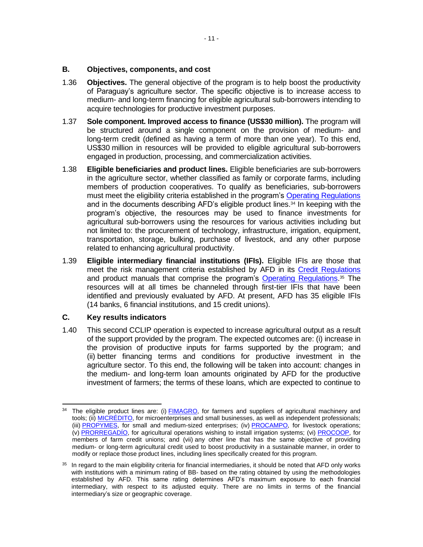- 1.36 **Objectives.** The general objective of the program is to help boost the productivity of Paraguay's agriculture sector. The specific objective is to increase access to medium- and long-term financing for eligible agricultural sub-borrowers intending to acquire technologies for productive investment purposes.
- 1.37 **Sole component. Improved access to finance (US\$30 million).** The program will be structured around a single component on the provision of medium- and long-term credit (defined as having a term of more than one year). To this end, US\$30 million in resources will be provided to eligible agricultural sub-borrowers engaged in production, processing, and commercialization activities.
- 1.38 **Eligible beneficiaries and product lines.** Eligible beneficiaries are sub-borrowers in the agriculture sector, whether classified as family or corporate farms, including members of production cooperatives. To qualify as beneficiaries, sub-borrowers must meet the eligibility criteria established in the program's [Operating Regulations](http://idbdocs.iadb.org/wsdocs/getDocument.aspx?DOCNUM=EZSHARE-1527470111-9) and in the documents describing AFD's eligible product lines. <sup>34</sup> In keeping with the program's objective, the resources may be used to finance investments for agricultural sub-borrowers using the resources for various activities including but not limited to: the procurement of technology, infrastructure, irrigation, equipment, transportation, storage, bulking, purchase of livestock, and any other purpose related to enhancing agricultural productivity.
- 1.39 **Eligible intermediary financial institutions (IFIs).** Eligible IFIs are those that meet the risk management criteria established by AFD in its [Credit Regulations](https://idbg.sharepoint.com/teams/EZ-PR-LON/PR-L1170/15%20LifeCycle%20Milestones/Reglamento%20de%20Credito.pdf) and product manuals that comprise the program's **Operating Regulations**.<sup>35</sup> The resources will at all times be channeled through first-tier IFIs that have been identified and previously evaluated by AFD. At present, AFD has 35 eligible IFIs (14 banks, 6 financial institutions, and 15 credit unions).

## **C. Key results indicators**

1.40 This second CCLIP operation is expected to increase agricultural output as a result of the support provided by the program. The expected outcomes are: (i) increase in the provision of productive inputs for farms supported by the program; and (ii) better financing terms and conditions for productive investment in the agriculture sector. To this end, the following will be taken into account: changes in the medium- and long-term loan amounts originated by AFD for the productive investment of farmers; the terms of these loans, which are expected to continue to

<sup>&</sup>lt;sup>34</sup> The eligible product lines are: (i) [FIMAGRO,](http://idbdocs.iadb.org/wsdocs/getDocument.aspx?Docnum=EZSHARE-1527470111-11) for farmers and suppliers of agricultural machinery and tools; (ii) [MICRÉDITO,](http://idbdocs.iadb.org/wsdocs/getDocument.aspx?Docnum=EZSHARE-1527470111-17) for microenterprises and small businesses, as well as independent professionals; (iii) [PROPYMES,](http://idbdocs.iadb.org/wsdocs/getDocument.aspx?Docnum=EZSHARE-1527470111-15) for small and medium-sized enterprises; (iv) [PROCAMPO,](http://idbdocs.iadb.org/wsdocs/getDocument.aspx?Docnum=EZSHARE-1527470111-13) for livestock operations; (v) [PRORREGADÍO,](http://idbdocs.iadb.org/wsdocs/getDocument.aspx?Docnum=EZSHARE-1527470111-16) for agricultural operations wishing to install irrigation systems; (vi) [PROCOOP,](http://idbdocs.iadb.org/wsdocs/getDocument.aspx?Docnum=EZSHARE-1527470111-14) for members of farm credit unions; and (vii) any other line that has the same objective of providing medium- or long-term agricultural credit used to boost productivity in a sustainable manner, in order to modify or replace those product lines, including lines specifically created for this program.

 $35$  In regard to the main eligibility criteria for financial intermediaries, it should be noted that AFD only works with institutions with a minimum rating of BB- based on the rating obtained by using the methodologies established by AFD. This same rating determines AFD's maximum exposure to each financial intermediary, with respect to its adjusted equity. There are no limits in terms of the financial intermediary's size or geographic coverage.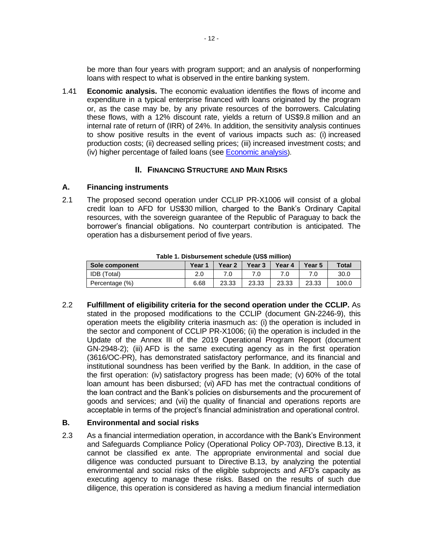be more than four years with program support; and an analysis of nonperforming loans with respect to what is observed in the entire banking system.

1.41 **Economic analysis.** The economic evaluation identifies the flows of income and expenditure in a typical enterprise financed with loans originated by the program or, as the case may be, by any private resources of the borrowers. Calculating these flows, with a 12% discount rate, yields a return of US\$9.8 million and an internal rate of return of (IRR) of 24%. In addition, the sensitivity analysis continues to show positive results in the event of various impacts such as: (i) increased production costs; (ii) decreased selling prices; (iii) increased investment costs; and (iv) higher percentage of failed loans (see [Economic analysis](http://idbdocs.iadb.org/wsdocs/getDocument.aspx?Docnum=EZSHARE-1527470111-4)).

## **II. FINANCING STRUCTURE AND MAIN RISKS**

## **A. Financing instruments**

2.1 The proposed second operation under CCLIP PR-X1006 will consist of a global credit loan to AFD for US\$30 million, charged to the Bank's Ordinary Capital resources, with the sovereign guarantee of the Republic of Paraguay to back the borrower's financial obligations. No counterpart contribution is anticipated. The operation has a disbursement period of five years.

| <u>rapic 1. Dispursement scriedule (000 minion)</u> |        |                   |        |        |        |              |  |  |  |  |  |  |  |
|-----------------------------------------------------|--------|-------------------|--------|--------|--------|--------------|--|--|--|--|--|--|--|
| Sole component                                      | Year 1 | Year <sub>2</sub> | Year 3 | Year 4 | Year 5 | <b>Total</b> |  |  |  |  |  |  |  |
| <b>IDB</b> (Total)                                  | 2.0    |                   |        |        |        | 30.0         |  |  |  |  |  |  |  |
| Percentage (%)                                      | 6.68   | 23.33             | 23.33  | 23.33  | 23.33  | 100.0        |  |  |  |  |  |  |  |

**Table 1. Disbursement schedule (US\$ million)**

2.2 **Fulfillment of eligibility criteria for the second operation under the CCLIP.** As stated in the proposed modifications to the CCLIP (document GN-2246-9), this operation meets the eligibility criteria inasmuch as: (i) the operation is included in the sector and component of CCLIP PR-X1006; (ii) the operation is included in the Update of the Annex III of the 2019 Operational Program Report (document GN-2948-2); (iii) AFD is the same executing agency as in the first operation (3616/OC-PR), has demonstrated satisfactory performance, and its financial and institutional soundness has been verified by the Bank. In addition, in the case of the first operation: (iv) satisfactory progress has been made; (v) 60% of the total loan amount has been disbursed; (vi) AFD has met the contractual conditions of the loan contract and the Bank's policies on disbursements and the procurement of goods and services; and (vii) the quality of financial and operations reports are acceptable in terms of the project's financial administration and operational control.

## **B. Environmental and social risks**

2.3 As a financial intermediation operation, in accordance with the Bank's Environment and Safeguards Compliance Policy (Operational Policy OP-703), Directive B.13, it cannot be classified ex ante. The appropriate environmental and social due diligence was conducted pursuant to Directive B.13, by analyzing the potential environmental and social risks of the eligible subprojects and AFD's capacity as executing agency to manage these risks. Based on the results of such due diligence, this operation is considered as having a medium financial intermediation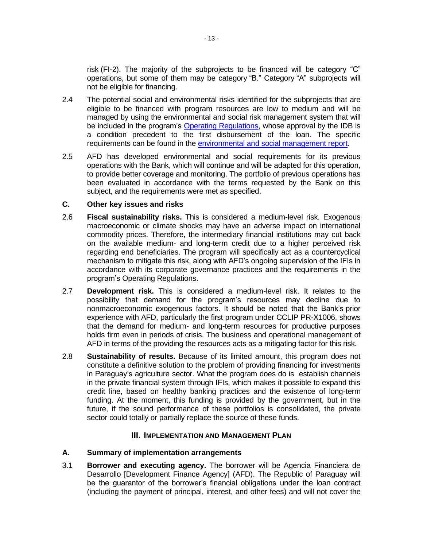risk (FI-2). The majority of the subprojects to be financed will be category "C" operations, but some of them may be category "B." Category "A" subprojects will not be eligible for financing.

- 2.4 The potential social and environmental risks identified for the subprojects that are eligible to be financed with program resources are low to medium and will be managed by using the environmental and social risk management system that will be included in the program's [Operating Regulations,](http://idbdocs.iadb.org/wsdocs/getDocument.aspx?DOCNUM=EZSHARE-1527470111-9) whose approval by the IDB is a condition precedent to the first disbursement of the loan. The specific requirements can be found in the [environmental and social management report.](http://idbdocs.iadb.org/wsdocs/getDocument.aspx?DOCNUM=EZSHARE-1527470111-10)
- 2.5 AFD has developed environmental and social requirements for its previous operations with the Bank, which will continue and will be adapted for this operation, to provide better coverage and monitoring. The portfolio of previous operations has been evaluated in accordance with the terms requested by the Bank on this subject, and the requirements were met as specified.

## **C. Other key issues and risks**

- 2.6 **Fiscal sustainability risks.** This is considered a medium-level risk. Exogenous macroeconomic or climate shocks may have an adverse impact on international commodity prices. Therefore, the intermediary financial institutions may cut back on the available medium- and long-term credit due to a higher perceived risk regarding end beneficiaries. The program will specifically act as a countercyclical mechanism to mitigate this risk, along with AFD's ongoing supervision of the IFIs in accordance with its corporate governance practices and the requirements in the program's Operating Regulations.
- 2.7 **Development risk.** This is considered a medium-level risk. It relates to the possibility that demand for the program's resources may decline due to nonmacroeconomic exogenous factors. It should be noted that the Bank's prior experience with AFD, particularly the first program under CCLIP PR-X1006, shows that the demand for medium- and long-term resources for productive purposes holds firm even in periods of crisis. The business and operational management of AFD in terms of the providing the resources acts as a mitigating factor for this risk.
- 2.8 **Sustainability of results.** Because of its limited amount, this program does not constitute a definitive solution to the problem of providing financing for investments in Paraguay's agriculture sector. What the program does do is establish channels in the private financial system through IFIs, which makes it possible to expand this credit line, based on healthy banking practices and the existence of long-term funding. At the moment, this funding is provided by the government, but in the future, if the sound performance of these portfolios is consolidated, the private sector could totally or partially replace the source of these funds.

## **III. IMPLEMENTATION AND MANAGEMENT PLAN**

## **A. Summary of implementation arrangements**

3.1 **Borrower and executing agency.** The borrower will be Agencia Financiera de Desarrollo [Development Finance Agency] (AFD). The Republic of Paraguay will be the guarantor of the borrower's financial obligations under the loan contract (including the payment of principal, interest, and other fees) and will not cover the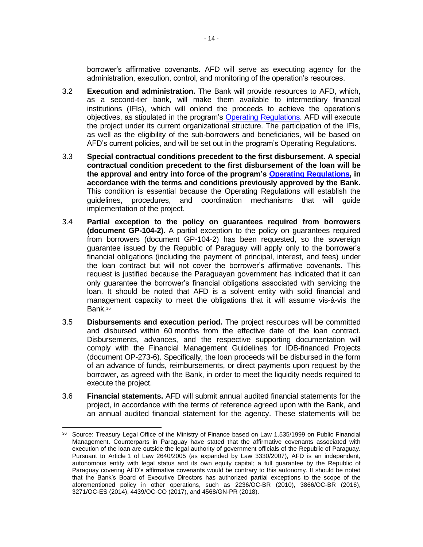borrower's affirmative covenants. AFD will serve as executing agency for the administration, execution, control, and monitoring of the operation's resources.

- 3.2 **Execution and administration.** The Bank will provide resources to AFD, which, as a second-tier bank, will make them available to intermediary financial institutions (IFIs), which will onlend the proceeds to achieve the operation's objectives, as stipulated in the program's [Operating Regulations.](http://idbdocs.iadb.org/wsdocs/getDocument.aspx?DOCNUM=EZSHARE-1527470111-9) AFD will execute the project under its current organizational structure. The participation of the IFIs, as well as the eligibility of the sub-borrowers and beneficiaries, will be based on AFD's current policies, and will be set out in the program's Operating Regulations.
- 3.3 **Special contractual conditions precedent to the first disbursement. A special contractual condition precedent to the first disbursement of the loan will be the approval and entry into force of the program's [Operating Regulations,](http://idbdocs.iadb.org/wsdocs/getDocument.aspx?DOCNUM=EZSHARE-1527470111-9) in accordance with the terms and conditions previously approved by the Bank.** This condition is essential because the Operating Regulations will establish the guidelines, procedures, and coordination mechanisms that will guide implementation of the project.
- 3.4 **Partial exception to the policy on guarantees required from borrowers (document GP-104-2).** A partial exception to the policy on guarantees required from borrowers (document GP-104-2) has been requested, so the sovereign guarantee issued by the Republic of Paraguay will apply only to the borrower's financial obligations (including the payment of principal, interest, and fees) under the loan contract but will not cover the borrower's affirmative covenants. This request is justified because the Paraguayan government has indicated that it can only guarantee the borrower's financial obligations associated with servicing the loan. It should be noted that AFD is a solvent entity with solid financial and management capacity to meet the obligations that it will assume vis-à-vis the Bank.<sup>36</sup>
- 3.5 **Disbursements and execution period.** The project resources will be committed and disbursed within 60 months from the effective date of the loan contract. Disbursements, advances, and the respective supporting documentation will comply with the Financial Management Guidelines for IDB-financed Projects (document OP-273-6). Specifically, the loan proceeds will be disbursed in the form of an advance of funds, reimbursements, or direct payments upon request by the borrower, as agreed with the Bank, in order to meet the liquidity needs required to execute the project.
- 3.6 **Financial statements.** AFD will submit annual audited financial statements for the project, in accordance with the terms of reference agreed upon with the Bank, and an annual audited financial statement for the agency. These statements will be

<sup>&</sup>lt;sup>36</sup> Source: Treasury Legal Office of the Ministry of Finance based on Law 1.535/1999 on Public Financial Management. Counterparts in Paraguay have stated that the affirmative covenants associated with execution of the loan are outside the legal authority of government officials of the Republic of Paraguay. Pursuant to Article 1 of Law 2640/2005 (as expanded by Law 3330/2007), AFD is an independent, autonomous entity with legal status and its own equity capital; a full guarantee by the Republic of Paraguay covering AFD's affirmative covenants would be contrary to this autonomy. It should be noted that the Bank's Board of Executive Directors has authorized partial exceptions to the scope of the aforementioned policy in other operations, such as 2236/OC-BR (2010), 3866/OC-BR (2016), 3271/OC-ES (2014), 4439/OC-CO (2017), and 4568/GN-PR (2018).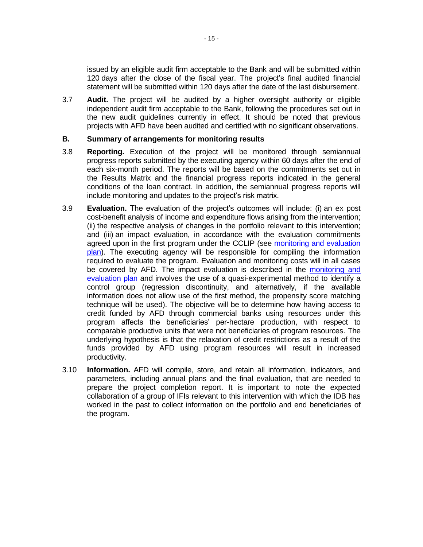issued by an eligible audit firm acceptable to the Bank and will be submitted within 120 days after the close of the fiscal year. The project's final audited financial statement will be submitted within 120 days after the date of the last disbursement.

3.7 **Audit.** The project will be audited by a higher oversight authority or eligible independent audit firm acceptable to the Bank, following the procedures set out in the new audit guidelines currently in effect. It should be noted that previous projects with AFD have been audited and certified with no significant observations.

## **B. Summary of arrangements for monitoring results**

- 3.8 **Reporting.** Execution of the project will be monitored through semiannual progress reports submitted by the executing agency within 60 days after the end of each six-month period. The reports will be based on the commitments set out in the Results Matrix and the financial progress reports indicated in the general conditions of the loan contract. In addition, the semiannual progress reports will include monitoring and updates to the project's risk matrix.
- 3.9 **Evaluation.** The evaluation of the project's outcomes will include: (i) an ex post cost-benefit analysis of income and expenditure flows arising from the intervention; (ii) the respective analysis of changes in the portfolio relevant to this intervention; and (iii) an impact evaluation, in accordance with the evaluation commitments agreed upon in the first program under the CCLIP (see [monitoring and evaluation](http://idbdocs.iadb.org/wsdocs/getDocument.aspx?DOCNUM=EZSHARE-1527470111-2)  [plan\)](http://idbdocs.iadb.org/wsdocs/getDocument.aspx?DOCNUM=EZSHARE-1527470111-2). The executing agency will be responsible for compiling the information required to evaluate the program. Evaluation and monitoring costs will in all cases be covered by AFD. The impact evaluation is described in the [monitoring and](http://idbdocs.iadb.org/wsdocs/getDocument.aspx?DOCNUM=EZSHARE-1527470111-2)  [evaluation plan](http://idbdocs.iadb.org/wsdocs/getDocument.aspx?DOCNUM=EZSHARE-1527470111-2) and involves the use of a quasi-experimental method to identify a control group (regression discontinuity, and alternatively, if the available information does not allow use of the first method, the propensity score matching technique will be used). The objective will be to determine how having access to credit funded by AFD through commercial banks using resources under this program affects the beneficiaries' per-hectare production, with respect to comparable productive units that were not beneficiaries of program resources. The underlying hypothesis is that the relaxation of credit restrictions as a result of the funds provided by AFD using program resources will result in increased productivity.
- 3.10 **Information.** AFD will compile, store, and retain all information, indicators, and parameters, including annual plans and the final evaluation, that are needed to prepare the project completion report. It is important to note the expected collaboration of a group of IFIs relevant to this intervention with which the IDB has worked in the past to collect information on the portfolio and end beneficiaries of the program.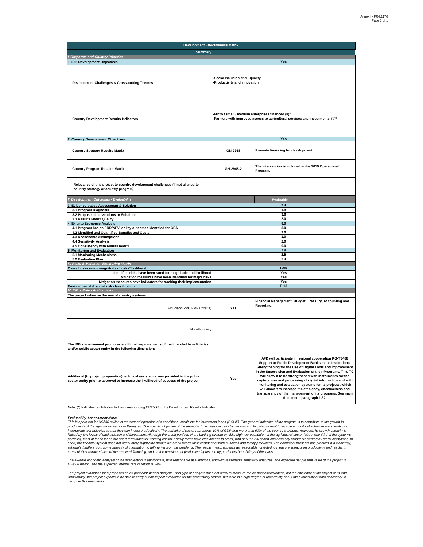| <b>Development Effectiveness Matrix</b>                                                                                                                                     |                                                                                                                                |                                                                                                                                                                                                                                                                                                                                                                                                                                                                                                                                                                                                  |  |  |  |  |  |  |  |  |  |
|-----------------------------------------------------------------------------------------------------------------------------------------------------------------------------|--------------------------------------------------------------------------------------------------------------------------------|--------------------------------------------------------------------------------------------------------------------------------------------------------------------------------------------------------------------------------------------------------------------------------------------------------------------------------------------------------------------------------------------------------------------------------------------------------------------------------------------------------------------------------------------------------------------------------------------------|--|--|--|--|--|--|--|--|--|
| <b>Summary</b>                                                                                                                                                              |                                                                                                                                |                                                                                                                                                                                                                                                                                                                                                                                                                                                                                                                                                                                                  |  |  |  |  |  |  |  |  |  |
| I. Corporate and Country Priorities                                                                                                                                         |                                                                                                                                |                                                                                                                                                                                                                                                                                                                                                                                                                                                                                                                                                                                                  |  |  |  |  |  |  |  |  |  |
| 1. IDB Development Objectives                                                                                                                                               |                                                                                                                                | Yes                                                                                                                                                                                                                                                                                                                                                                                                                                                                                                                                                                                              |  |  |  |  |  |  |  |  |  |
| <b>Development Challenges &amp; Cross-cutting Themes</b>                                                                                                                    | Social Inclusion and Equality<br>-Productivity and Innovation                                                                  |                                                                                                                                                                                                                                                                                                                                                                                                                                                                                                                                                                                                  |  |  |  |  |  |  |  |  |  |
| <b>Country Development Results Indicators</b>                                                                                                                               | Micro / small / medium enterprises financed (#)*<br>Farmers with improved access to agricultural services and investments (#)* |                                                                                                                                                                                                                                                                                                                                                                                                                                                                                                                                                                                                  |  |  |  |  |  |  |  |  |  |
| 2. Country Development Objectives                                                                                                                                           |                                                                                                                                | Yes                                                                                                                                                                                                                                                                                                                                                                                                                                                                                                                                                                                              |  |  |  |  |  |  |  |  |  |
| <b>Country Strategy Results Matrix</b>                                                                                                                                      | GN-2958                                                                                                                        | Promote financing for development                                                                                                                                                                                                                                                                                                                                                                                                                                                                                                                                                                |  |  |  |  |  |  |  |  |  |
| <b>Country Program Results Matrix</b>                                                                                                                                       | GN-2948-2                                                                                                                      | The intervention is included in the 2019 Operational<br>Program.                                                                                                                                                                                                                                                                                                                                                                                                                                                                                                                                 |  |  |  |  |  |  |  |  |  |
| Relevance of this project to country development challenges (If not aligned to<br>country strategy or country program)                                                      |                                                                                                                                |                                                                                                                                                                                                                                                                                                                                                                                                                                                                                                                                                                                                  |  |  |  |  |  |  |  |  |  |
| II. Development Outcomes - Evaluability                                                                                                                                     |                                                                                                                                | Evaluable                                                                                                                                                                                                                                                                                                                                                                                                                                                                                                                                                                                        |  |  |  |  |  |  |  |  |  |
| <b>Evidence-based Assessment &amp; Solution</b>                                                                                                                             |                                                                                                                                | 7.4                                                                                                                                                                                                                                                                                                                                                                                                                                                                                                                                                                                              |  |  |  |  |  |  |  |  |  |
| 3.1 Program Diagnosis                                                                                                                                                       |                                                                                                                                | 1.8                                                                                                                                                                                                                                                                                                                                                                                                                                                                                                                                                                                              |  |  |  |  |  |  |  |  |  |
| 3.2 Proposed Interventions or Solutions                                                                                                                                     |                                                                                                                                | 3.6                                                                                                                                                                                                                                                                                                                                                                                                                                                                                                                                                                                              |  |  |  |  |  |  |  |  |  |
| 3.3 Results Matrix Quality<br><b>Ex ante Economic Analysis</b>                                                                                                              |                                                                                                                                | 2.0<br>9.0                                                                                                                                                                                                                                                                                                                                                                                                                                                                                                                                                                                       |  |  |  |  |  |  |  |  |  |
| 4.1 Program has an ERR/NPV, or key outcomes identified for CEA                                                                                                              |                                                                                                                                | 3.0                                                                                                                                                                                                                                                                                                                                                                                                                                                                                                                                                                                              |  |  |  |  |  |  |  |  |  |
| 4.2 Identified and Quantified Benefits and Costs                                                                                                                            |                                                                                                                                | 3.0                                                                                                                                                                                                                                                                                                                                                                                                                                                                                                                                                                                              |  |  |  |  |  |  |  |  |  |
| 4.3 Reasonable Assumptions                                                                                                                                                  | 1.0                                                                                                                            |                                                                                                                                                                                                                                                                                                                                                                                                                                                                                                                                                                                                  |  |  |  |  |  |  |  |  |  |
| <b>4.4 Sensitivity Analysis</b>                                                                                                                                             |                                                                                                                                | 2.0                                                                                                                                                                                                                                                                                                                                                                                                                                                                                                                                                                                              |  |  |  |  |  |  |  |  |  |
| 4.5 Consistency with results matrix<br><b>Monitoring and Evaluation</b>                                                                                                     |                                                                                                                                | 0.0<br>7.9                                                                                                                                                                                                                                                                                                                                                                                                                                                                                                                                                                                       |  |  |  |  |  |  |  |  |  |
| 5.1 Monitoring Mechanisms                                                                                                                                                   |                                                                                                                                | 2.5                                                                                                                                                                                                                                                                                                                                                                                                                                                                                                                                                                                              |  |  |  |  |  |  |  |  |  |
| 5.2 Evaluation Plan                                                                                                                                                         |                                                                                                                                | 5.4                                                                                                                                                                                                                                                                                                                                                                                                                                                                                                                                                                                              |  |  |  |  |  |  |  |  |  |
| III. Risks & Mitigation Monitoring Matrix                                                                                                                                   |                                                                                                                                |                                                                                                                                                                                                                                                                                                                                                                                                                                                                                                                                                                                                  |  |  |  |  |  |  |  |  |  |
| Overall risks rate = magnitude of risks*likelihood<br>Identified risks have been rated for magnitude and likelihood                                                         |                                                                                                                                | Low<br>Yes                                                                                                                                                                                                                                                                                                                                                                                                                                                                                                                                                                                       |  |  |  |  |  |  |  |  |  |
| Mitigation measures have been identified for major risks                                                                                                                    |                                                                                                                                | Yes                                                                                                                                                                                                                                                                                                                                                                                                                                                                                                                                                                                              |  |  |  |  |  |  |  |  |  |
| Mitigation measures have indicators for tracking their implementation                                                                                                       |                                                                                                                                | Yes                                                                                                                                                                                                                                                                                                                                                                                                                                                                                                                                                                                              |  |  |  |  |  |  |  |  |  |
| Environmental & social risk classification                                                                                                                                  |                                                                                                                                | <b>B.13</b>                                                                                                                                                                                                                                                                                                                                                                                                                                                                                                                                                                                      |  |  |  |  |  |  |  |  |  |
| IV. IDB´s Role - Additionality<br>The project relies on the use of country systems                                                                                          |                                                                                                                                |                                                                                                                                                                                                                                                                                                                                                                                                                                                                                                                                                                                                  |  |  |  |  |  |  |  |  |  |
| Fiduciary (VPC/FMP Criteria)                                                                                                                                                | Yes                                                                                                                            | Financial Management: Budget, Treasury, Accounting and<br>Reporting.                                                                                                                                                                                                                                                                                                                                                                                                                                                                                                                             |  |  |  |  |  |  |  |  |  |
| Non-Fiduciary                                                                                                                                                               |                                                                                                                                |                                                                                                                                                                                                                                                                                                                                                                                                                                                                                                                                                                                                  |  |  |  |  |  |  |  |  |  |
| The IDB's involvement promotes additional improvements of the intended beneficiaries<br>and/or public sector entity in the following dimensions:                            |                                                                                                                                |                                                                                                                                                                                                                                                                                                                                                                                                                                                                                                                                                                                                  |  |  |  |  |  |  |  |  |  |
| Additional (to project preparation) technical assistance was provided to the public<br>sector entity prior to approval to increase the likelihood of success of the project | Yes                                                                                                                            | AFD will participate in regional cooperation RG-T3488<br>Support to Public Development Banks in the Institutional<br>Strengthening for the Use of Digital Tools and Improvement<br>in the Supervision and Evaluation of their Programs. This TC<br>will allow it to be strengthened with instruments for the<br>capture, use and processing of digital information and with<br>monitoring and evaluation systems for its projects, which<br>will allow it to increase the efficiency, effectiveness and<br>transparency of the management of its programs. See main<br>document, paragraph 1.32. |  |  |  |  |  |  |  |  |  |

Note: (\*) Indicates contribution to the corresponding CRF's Country Development Results Indicator.

**Evaluability Assessment Note:**<br>This is operation for US\$30 million is the second operation of a conditional credit line for investment loans (CCLIP). The general objective of the program is to contribute to the growth in<br>

*The ex-ante economic analysis of the intervention is appropriate, with reasonable assumptions, and with reasonable sensitivity analyzes. The expected net present value of the project is US\$9.8 million, and the expected internal rate of return is 24%.*

The project evaluation plan proposes an ex-post cost-benefit analysis. This type of analysis does not allow to measure the ex-post effectiveness, but the efficiency of the project at its end.<br>Additionally, the project expe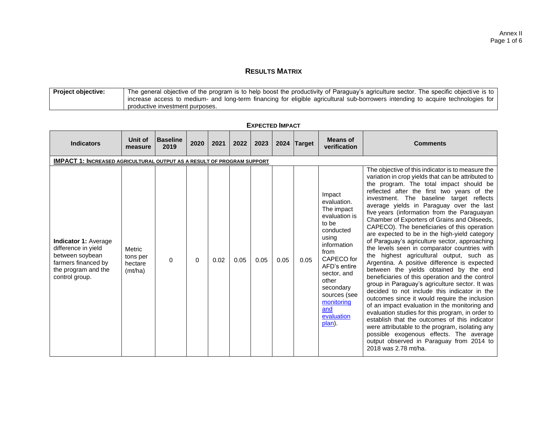## **RESULTS MATRIX**

| <b>Project objective:</b> | The general objective of the program is to help boost the productivity of Paraguay's agriculture sector. The specific objective is to |
|---------------------------|---------------------------------------------------------------------------------------------------------------------------------------|
|                           | increase access to medium- and long-term financing for eligible agricultural sub-borrowers intending to acquire technologies for      |
|                           | productive investment purposes.                                                                                                       |

| <b>Indicators</b>                                                                                                                     | Unit of<br>measure                              | <b>Baseline</b><br>2019 | 2020 | 2021 | 2022 | 2023 |      | 2024 Target | <b>Means of</b><br>verification                                                                                                                                                                                                            | <b>Comments</b>                                                                                                                                                                                                                                                                                                                                                                                                                                                                                                                                                                                                                                                                                                                                                                                                                                                                                                                                                                                                                                                                                                                                                                                                                                                  |
|---------------------------------------------------------------------------------------------------------------------------------------|-------------------------------------------------|-------------------------|------|------|------|------|------|-------------|--------------------------------------------------------------------------------------------------------------------------------------------------------------------------------------------------------------------------------------------|------------------------------------------------------------------------------------------------------------------------------------------------------------------------------------------------------------------------------------------------------------------------------------------------------------------------------------------------------------------------------------------------------------------------------------------------------------------------------------------------------------------------------------------------------------------------------------------------------------------------------------------------------------------------------------------------------------------------------------------------------------------------------------------------------------------------------------------------------------------------------------------------------------------------------------------------------------------------------------------------------------------------------------------------------------------------------------------------------------------------------------------------------------------------------------------------------------------------------------------------------------------|
| <b>IMPACT 1: INCREASED AGRICULTURAL OUTPUT AS A RESULT OF PROGRAM SUPPORT</b>                                                         |                                                 |                         |      |      |      |      |      |             |                                                                                                                                                                                                                                            |                                                                                                                                                                                                                                                                                                                                                                                                                                                                                                                                                                                                                                                                                                                                                                                                                                                                                                                                                                                                                                                                                                                                                                                                                                                                  |
| <b>Indicator 1: Average</b><br>difference in yield<br>between soybean<br>farmers financed by<br>the program and the<br>control group. | <b>Metric</b><br>tons per<br>hectare<br>(mt/ha) | 0                       | 0    | 0.02 | 0.05 | 0.05 | 0.05 | 0.05        | Impact<br>evaluation.<br>The impact<br>evaluation is<br>to be<br>conducted<br>using<br>information<br>from<br>CAPECO for<br>AFD's entire<br>sector, and<br>other<br>secondary<br>sources (see<br>monitoring<br>and<br>evaluation<br>plan). | The objective of this indicator is to measure the<br>variation in crop yields that can be attributed to<br>the program. The total impact should be<br>reflected after the first two years of the<br>investment. The baseline target<br>reflects<br>average yields in Paraguay over the last<br>five years (information from the Paraguayan<br>Chamber of Exporters of Grains and Oilseeds,<br>CAPECO). The beneficiaries of this operation<br>are expected to be in the high-yield category<br>of Paraguay's agriculture sector, approaching<br>the levels seen in comparator countries with<br>the highest agricultural output, such as<br>Argentina. A positive difference is expected<br>between the yields obtained by the end<br>beneficiaries of this operation and the control<br>group in Paraguay's agriculture sector. It was<br>decided to not include this indicator in the<br>outcomes since it would require the inclusion<br>of an impact evaluation in the monitoring and<br>evaluation studies for this program, in order to<br>establish that the outcomes of this indicator<br>were attributable to the program, isolating any<br>possible exogenous effects. The average<br>output observed in Paraguay from 2014 to<br>2018 was 2.78 mt/ha. |

#### **EXPECTED IMPACT**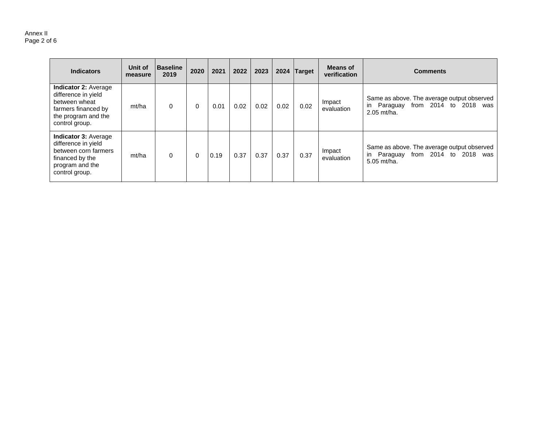#### Annex II Page 2 of 6

| <b>Indicators</b>                                                                                                                   | Unit of<br>measure | <b>Baseline</b><br>2019 | 2020     | 2021 | 2022 | 2023 | 2024 | Target | Means of<br>verification | <b>Comments</b>                                                                                        |
|-------------------------------------------------------------------------------------------------------------------------------------|--------------------|-------------------------|----------|------|------|------|------|--------|--------------------------|--------------------------------------------------------------------------------------------------------|
| <b>Indicator 2: Average</b><br>difference in yield<br>between wheat<br>farmers financed by<br>the program and the<br>control group. | mt/ha              | 0                       | $\Omega$ | 0.01 | 0.02 | 0.02 | 0.02 | 0.02   | Impact<br>evaluation     | Same as above. The average output observed<br>in Paraguay from 2014 to 2018 was<br>2.05 mt/ha.         |
| <b>Indicator 3: Average</b><br>difference in yield<br>between corn farmers<br>financed by the<br>program and the<br>control group.  | mt/ha              | 0                       | $\Omega$ | 0.19 | 0.37 | 0.37 | 0.37 | 0.37   | Impact<br>evaluation     | Same as above. The average output observed<br>from 2014 to 2018<br>in Paraguay<br>was<br>$5.05$ mt/ha. |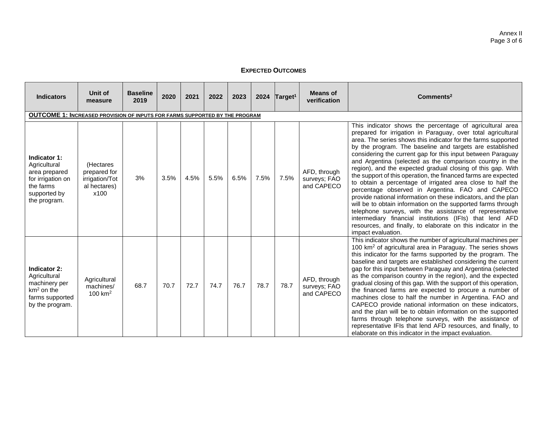## **EXPECTED OUTCOMES**

| <b>Indicators</b>                                                                                               | Unit of<br>measure                                                  | <b>Baseline</b><br>2019 | 2020 | 2021 | 2022 | 2023 | 2024 | Target <sup>1</sup> | <b>Means of</b><br>verification            | Commonents <sup>2</sup>                                                                                                                                                                                                                                                                                                                                                                                                                                                                                                                                                                                                                                                                                                                                                                                                                                                                                                                                                              |
|-----------------------------------------------------------------------------------------------------------------|---------------------------------------------------------------------|-------------------------|------|------|------|------|------|---------------------|--------------------------------------------|--------------------------------------------------------------------------------------------------------------------------------------------------------------------------------------------------------------------------------------------------------------------------------------------------------------------------------------------------------------------------------------------------------------------------------------------------------------------------------------------------------------------------------------------------------------------------------------------------------------------------------------------------------------------------------------------------------------------------------------------------------------------------------------------------------------------------------------------------------------------------------------------------------------------------------------------------------------------------------------|
| <b>OUTCOME 1: INCREASED PROVISION OF INPUTS FOR FARMS SUPPORTED BY THE PROGRAM</b>                              |                                                                     |                         |      |      |      |      |      |                     |                                            |                                                                                                                                                                                                                                                                                                                                                                                                                                                                                                                                                                                                                                                                                                                                                                                                                                                                                                                                                                                      |
| Indicator 1:<br>Agricultural<br>area prepared<br>for irrigation on<br>the farms<br>supported by<br>the program. | (Hectares<br>prepared for<br>irrigation/Tot<br>al hectares)<br>x100 | 3%                      | 3.5% | 4.5% | 5.5% | 6.5% | 7.5% | 7.5%                | AFD, through<br>surveys; FAO<br>and CAPECO | This indicator shows the percentage of agricultural area<br>prepared for irrigation in Paraguay, over total agricultural<br>area. The series shows this indicator for the farms supported<br>by the program. The baseline and targets are established<br>considering the current gap for this input between Paraguay<br>and Argentina (selected as the comparison country in the<br>region), and the expected gradual closing of this gap. With<br>the support of this operation, the financed farms are expected<br>to obtain a percentage of irrigated area close to half the<br>percentage observed in Argentina. FAO and CAPECO<br>provide national information on these indicators, and the plan<br>will be to obtain information on the supported farms through<br>telephone surveys, with the assistance of representative<br>intermediary financial institutions (IFIs) that lend AFD<br>resources, and finally, to elaborate on this indicator in the<br>impact evaluation. |
| Indicator 2:<br>Agricultural<br>machinery per<br>$km2$ on the<br>farms supported<br>by the program.             | Agricultural<br>machines/<br>100 $km2$                              | 68.7                    | 70.7 | 72.7 | 74.7 | 76.7 | 78.7 | 78.7                | AFD, through<br>surveys; FAO<br>and CAPECO | This indicator shows the number of agricultural machines per<br>100 km <sup>2</sup> of agricultural area in Paraguay. The series shows<br>this indicator for the farms supported by the program. The<br>baseline and targets are established considering the current<br>gap for this input between Paraguay and Argentina (selected<br>as the comparison country in the region), and the expected<br>gradual closing of this gap. With the support of this operation,<br>the financed farms are expected to procure a number of<br>machines close to half the number in Argentina. FAO and<br>CAPECO provide national information on these indicators,<br>and the plan will be to obtain information on the supported<br>farms through telephone surveys, with the assistance of<br>representative IFIs that lend AFD resources, and finally, to<br>elaborate on this indicator in the impact evaluation.                                                                            |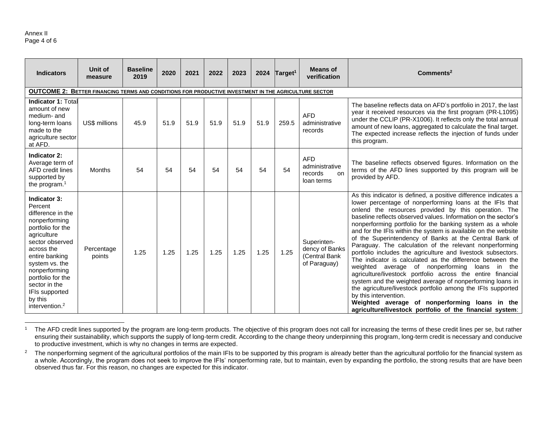#### Annex II Page 4 of 6

| <b>Indicators</b>                                                                                                                                                                                                                                                               | Unit of<br>measure                                                                                          | <b>Baseline</b><br>2019 | 2020 | 2021 | 2022 | 2023 | 2024 | Target <sup>1</sup> | <b>Means of</b><br>verification                                | Commonents <sup>2</sup>                                                                                                                                                                                                                                                                                                                                                                                                                                                                                                                                                                                                                                                                                                                                                                                                                                                                                                                                                                                                           |  |  |  |  |  |
|---------------------------------------------------------------------------------------------------------------------------------------------------------------------------------------------------------------------------------------------------------------------------------|-------------------------------------------------------------------------------------------------------------|-------------------------|------|------|------|------|------|---------------------|----------------------------------------------------------------|-----------------------------------------------------------------------------------------------------------------------------------------------------------------------------------------------------------------------------------------------------------------------------------------------------------------------------------------------------------------------------------------------------------------------------------------------------------------------------------------------------------------------------------------------------------------------------------------------------------------------------------------------------------------------------------------------------------------------------------------------------------------------------------------------------------------------------------------------------------------------------------------------------------------------------------------------------------------------------------------------------------------------------------|--|--|--|--|--|
|                                                                                                                                                                                                                                                                                 | <b>OUTCOME 2: BETTER FINANCING TERMS AND CONDITIONS FOR PRODUCTIVE INVESTMENT IN THE AGRICULTURE SECTOR</b> |                         |      |      |      |      |      |                     |                                                                |                                                                                                                                                                                                                                                                                                                                                                                                                                                                                                                                                                                                                                                                                                                                                                                                                                                                                                                                                                                                                                   |  |  |  |  |  |
| Indicator 1: Total<br>amount of new<br>medium- and<br>long-term loans<br>made to the<br>agriculture sector<br>at AFD.                                                                                                                                                           | US\$ millions                                                                                               | 45.9                    | 51.9 | 51.9 | 51.9 | 51.9 | 51.9 | 259.5               | <b>AFD</b><br>administrative<br>records                        | The baseline reflects data on AFD's portfolio in 2017, the last<br>year it received resources via the first program (PR-L1095)<br>under the CCLIP (PR-X1006). It reflects only the total annual<br>amount of new loans, aggregated to calculate the final target.<br>The expected increase reflects the injection of funds under<br>this program.                                                                                                                                                                                                                                                                                                                                                                                                                                                                                                                                                                                                                                                                                 |  |  |  |  |  |
| Indicator 2:<br>Average term of<br><b>AFD</b> credit lines<br>supported by<br>the program. $1$                                                                                                                                                                                  | <b>Months</b>                                                                                               | 54                      | 54   | 54   | 54   | 54   | 54   | 54                  | <b>AFD</b><br>administrative<br>records<br>on<br>loan terms    | The baseline reflects observed figures. Information on the<br>terms of the AFD lines supported by this program will be<br>provided by AFD.                                                                                                                                                                                                                                                                                                                                                                                                                                                                                                                                                                                                                                                                                                                                                                                                                                                                                        |  |  |  |  |  |
| Indicator 3:<br>Percent<br>difference in the<br>nonperforming<br>portfolio for the<br>agriculture<br>sector observed<br>across the<br>entire banking<br>system vs. the<br>nonperforming<br>portfolio for the<br>sector in the<br>IFIs supported<br>by this<br>intervention. $2$ | Percentage<br>points                                                                                        | 1.25                    | 1.25 | 1.25 | 1.25 | 1.25 | 1.25 | 1.25                | Superinten-<br>dency of Banks<br>(Central Bank<br>of Paraguay) | As this indicator is defined, a positive difference indicates a<br>lower percentage of nonperforming loans at the IFIs that<br>onlend the resources provided by this operation. The<br>baseline reflects observed values. Information on the sector's<br>nonperforming portfolio for the banking system as a whole<br>and for the IFIs within the system is available on the website<br>of the Superintendency of Banks at the Central Bank of<br>Paraguay. The calculation of the relevant nonperforming<br>portfolio includes the agriculture and livestock subsectors.<br>The indicator is calculated as the difference between the<br>weighted average of nonperforming<br>loans<br>in the<br>agriculture/livestock portfolio across the entire financial<br>system and the weighted average of nonperforming loans in<br>the agriculture/livestock portfolio among the IFIs supported<br>by this intervention.<br>Weighted average of nonperforming loans in the<br>agriculture/livestock portfolio of the financial system: |  |  |  |  |  |

<sup>&</sup>lt;sup>1</sup> The AFD credit lines supported by the program are long-term products. The objective of this program does not call for increasing the terms of these credit lines per se, but rather ensuring their sustainability, which supports the supply of long-term credit. According to the change theory underpinning this program, long-term credit is necessary and conducive to productive investment, which is why no changes in terms are expected.

<sup>&</sup>lt;sup>2</sup> The nonperforming segment of the agricultural portfolios of the main IFIs to be supported by this program is already better than the agricultural portfolio for the financial system as a whole. Accordingly, the program does not seek to improve the IFIs' nonperforming rate, but to maintain, even by expanding the portfolio, the strong results that are have been observed thus far. For this reason, no changes are expected for this indicator.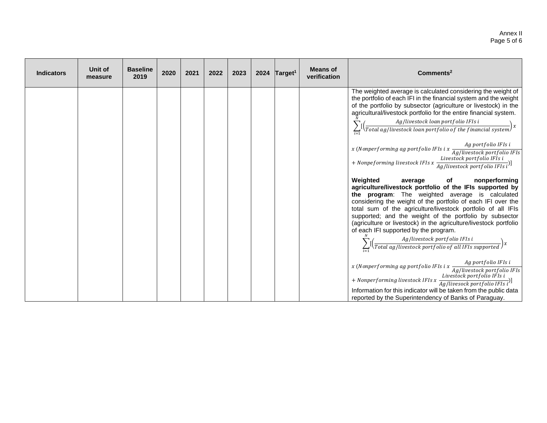#### Annex II Page 5 of 6

| <b>Indicators</b> | Unit of<br>measure | <b>Baseline</b><br>2019 | 2020 | 2021 | 2022 | 2023 | 2024 $Target1$ | <b>Means of</b><br>verification | Comments <sup>2</sup>                                                                                                                                                                                                                                                                                                                                                                                                                                                                                                                                                                                   |
|-------------------|--------------------|-------------------------|------|------|------|------|----------------|---------------------------------|---------------------------------------------------------------------------------------------------------------------------------------------------------------------------------------------------------------------------------------------------------------------------------------------------------------------------------------------------------------------------------------------------------------------------------------------------------------------------------------------------------------------------------------------------------------------------------------------------------|
|                   |                    |                         |      |      |      |      |                |                                 | The weighted average is calculated considering the weight of<br>the portfolio of each IFI in the financial system and the weight<br>of the portfolio by subsector (agriculture or livestock) in the<br>agricultural/livestock portfolio for the entire financial system.<br>$\frac{Ag/livestock\ loan\ portfolio\ IFls\ i}{Total\ ag/livestock\ loan\ portfolio\ of\ the\ financial\ system}x$                                                                                                                                                                                                          |
|                   |                    |                         |      |      |      |      |                |                                 | x (Nonperforming ag portfolio IFIs i x $\frac{118}{Ag/livestock\ portfolio\ IFIs}$<br>+ Nonpeforming livestock IFIs x $\frac{Livestock\ portfolio\ IFIs\ i}{Ag/livestock\ portfolio\ IFIs\ i}$                                                                                                                                                                                                                                                                                                                                                                                                          |
|                   |                    |                         |      |      |      |      |                |                                 | Weighted<br>nonperforming<br>average<br>of<br>agriculture/livestock portfolio of the IFIs supported by<br>the program: The weighted average is calculated<br>considering the weight of the portfolio of each IFI over the<br>total sum of the agriculture/livestock portfolio of all IFIs<br>supported; and the weight of the portfolio by subsector<br>(agriculture or livestock) in the agriculture/livestock portfolio<br>of each IFI supported by the program.<br>$\sum_{i=1}^{N} [\left(\frac{Ag/livestock\,portfolio\,IFIs\,i}{Total\,ag/livestock\,portfolio\,of\,all\,IFIs\,supported}\right)x$ |
|                   |                    |                         |      |      |      |      |                |                                 | Ag portfolio IFIs i<br>x (Nonperforming ag portfolio IFIs i x $\frac{1}{Ag/livestock\ portfolio\ IFls}$<br>+ Nonperforming livestock IFIs x $\frac{Liveslock}{Ag/livesock\ portfolio\ IFIs\ i}$<br>Information for this indicator will be taken from the public data<br>reported by the Superintendency of Banks of Paraguay.                                                                                                                                                                                                                                                                           |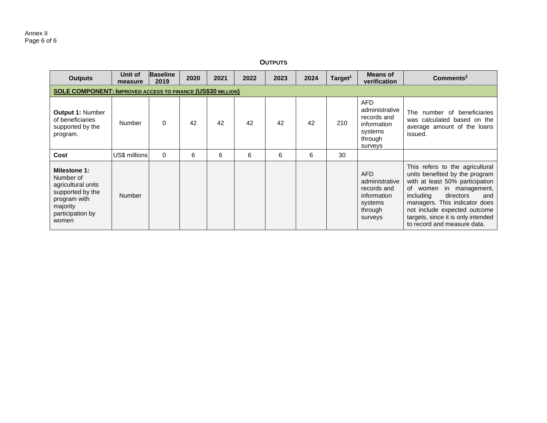| <b>Outputs</b>                                                                                                                      | Unit of<br>measure | <b>Baseline</b><br>2019 | 2020 | 2021 | 2022 | 2023 | 2024 | Target <sup>1</sup> | Means of<br>verification                                                                    | Commonents <sup>2</sup>                                                                                                                                                                                                                                                                                   |  |  |  |
|-------------------------------------------------------------------------------------------------------------------------------------|--------------------|-------------------------|------|------|------|------|------|---------------------|---------------------------------------------------------------------------------------------|-----------------------------------------------------------------------------------------------------------------------------------------------------------------------------------------------------------------------------------------------------------------------------------------------------------|--|--|--|
| <b>SOLE COMPONENT: IMPROVED ACCESS TO FINANCE (US\$30 MILLION)</b>                                                                  |                    |                         |      |      |      |      |      |                     |                                                                                             |                                                                                                                                                                                                                                                                                                           |  |  |  |
| <b>Output 1: Number</b><br>of beneficiaries<br>supported by the<br>program.                                                         | Number             | $\Omega$                | 42   | 42   | 42   | 42   | 42   | 210                 | <b>AFD</b><br>administrative<br>records and<br>information<br>systems<br>through<br>surveys | number of beneficiaries<br>The<br>calculated based on the<br>was<br>average amount of the loans<br>issued.                                                                                                                                                                                                |  |  |  |
| Cost                                                                                                                                | US\$ millions      | $\Omega$                | 6    | 6    | 6    | 6    | 6    | 30                  |                                                                                             |                                                                                                                                                                                                                                                                                                           |  |  |  |
| <b>Milestone 1:</b><br>Number of<br>agricultural units<br>supported by the<br>program with<br>majority<br>participation by<br>women | <b>Number</b>      |                         |      |      |      |      |      |                     | AFD.<br>administrative<br>records and<br>information<br>systems<br>through<br>surveys       | This refers to the agricultural<br>units benefited by the program<br>with at least 50% participation<br>in management,<br>of women<br>directors<br>including<br>and<br>managers. This indicator does<br>not include expected outcome<br>targets, since it is only intended<br>to record and measure data. |  |  |  |

#### **OUTPUTS**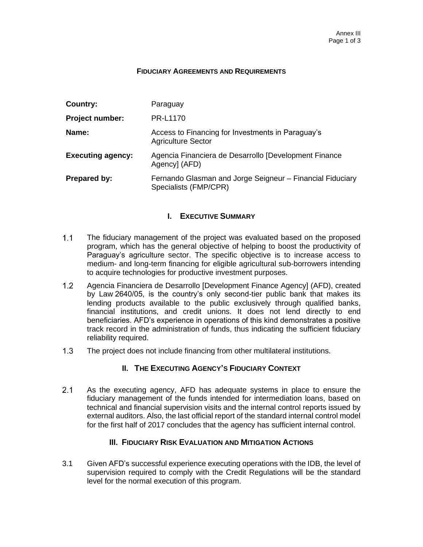#### **FIDUCIARY AGREEMENTS AND REQUIREMENTS**

| Country:                 | Paraguay                                                                           |
|--------------------------|------------------------------------------------------------------------------------|
| <b>Project number:</b>   | <b>PR-L1170</b>                                                                    |
| Name:                    | Access to Financing for Investments in Paraguay's<br><b>Agriculture Sector</b>     |
| <b>Executing agency:</b> | Agencia Financiera de Desarrollo [Development Finance<br>Agency] (AFD)             |
| <b>Prepared by:</b>      | Fernando Glasman and Jorge Seigneur - Financial Fiduciary<br>Specialists (FMP/CPR) |

## **I. EXECUTIVE SUMMARY**

- $1.1$ The fiduciary management of the project was evaluated based on the proposed program, which has the general objective of helping to boost the productivity of Paraguay's agriculture sector. The specific objective is to increase access to medium- and long-term financing for eligible agricultural sub-borrowers intending to acquire technologies for productive investment purposes.
- $1.2$ Agencia Financiera de Desarrollo [Development Finance Agency] (AFD), created by Law 2640/05, is the country's only second-tier public bank that makes its lending products available to the public exclusively through qualified banks, financial institutions, and credit unions. It does not lend directly to end beneficiaries. AFD's experience in operations of this kind demonstrates a positive track record in the administration of funds, thus indicating the sufficient fiduciary reliability required.
- $1.3$ The project does not include financing from other multilateral institutions.

## **II. THE EXECUTING AGENCY'S FIDUCIARY CONTEXT**

 $2.1$ As the executing agency, AFD has adequate systems in place to ensure the fiduciary management of the funds intended for intermediation loans, based on technical and financial supervision visits and the internal control reports issued by external auditors. Also, the last official report of the standard internal control model for the first half of 2017 concludes that the agency has sufficient internal control.

## **III. FIDUCIARY RISK EVALUATION AND MITIGATION ACTIONS**

3.1 Given AFD's successful experience executing operations with the IDB, the level of supervision required to comply with the Credit Regulations will be the standard level for the normal execution of this program.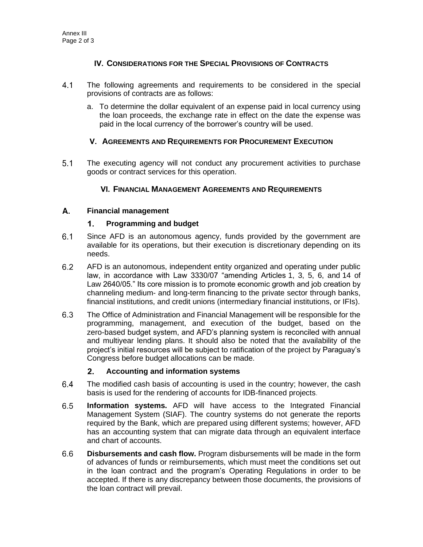## **IV. CONSIDERATIONS FOR THE SPECIAL PROVISIONS OF CONTRACTS**

- $4.1$ The following agreements and requirements to be considered in the special provisions of contracts are as follows:
	- a. To determine the dollar equivalent of an expense paid in local currency using the loan proceeds, the exchange rate in effect on the date the expense was paid in the local currency of the borrower's country will be used.

## **V. AGREEMENTS AND REQUIREMENTS FOR PROCUREMENT EXECUTION**

 $5.1$ The executing agency will not conduct any procurement activities to purchase goods or contract services for this operation.

## **VI. FINANCIAL MANAGEMENT AGREEMENTS AND REQUIREMENTS**

#### A. **Financial management**

#### $1.$ **Programming and budget**

- $6.1$ Since AFD is an autonomous agency, funds provided by the government are available for its operations, but their execution is discretionary depending on its needs.
- $6.2$ AFD is an autonomous, independent entity organized and operating under public law, in accordance with Law 3330/07 "amending Articles 1, 3, 5, 6, and 14 of Law 2640/05." Its core mission is to promote economic growth and job creation by channeling medium- and long-term financing to the private sector through banks, financial institutions, and credit unions (intermediary financial institutions, or IFIs).
- $6.3$ The Office of Administration and Financial Management will be responsible for the programming, management, and execution of the budget, based on the zero-based budget system, and AFD's planning system is reconciled with annual and multiyear lending plans. It should also be noted that the availability of the project's initial resources will be subject to ratification of the project by Paraguay's Congress before budget allocations can be made.

#### $2.$ **Accounting and information systems**

- $6.4$ The modified cash basis of accounting is used in the country; however, the cash basis is used for the rendering of accounts for IDB-financed projects.
- $6.5$ **Information systems.** AFD will have access to the Integrated Financial Management System (SIAF). The country systems do not generate the reports required by the Bank, which are prepared using different systems; however, AFD has an accounting system that can migrate data through an equivalent interface and chart of accounts.
- $6.6$ **Disbursements and cash flow.** Program disbursements will be made in the form of advances of funds or reimbursements, which must meet the conditions set out in the loan contract and the program's Operating Regulations in order to be accepted. If there is any discrepancy between those documents, the provisions of the loan contract will prevail.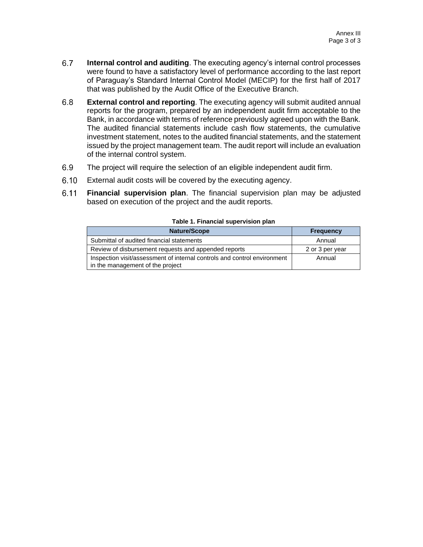- $6.7$ **Internal control and auditing**. The executing agency's internal control processes were found to have a satisfactory level of performance according to the last report of Paraguay's Standard Internal Control Model (MECIP) for the first half of 2017 that was published by the Audit Office of the Executive Branch.
- $6.8$ **External control and reporting**. The executing agency will submit audited annual reports for the program, prepared by an independent audit firm acceptable to the Bank, in accordance with terms of reference previously agreed upon with the Bank. The audited financial statements include cash flow statements, the cumulative investment statement, notes to the audited financial statements, and the statement issued by the project management team. The audit report will include an evaluation of the internal control system.
- $6.9$ The project will require the selection of an eligible independent audit firm.
- $6.10$ External audit costs will be covered by the executing agency.
- $6.11$ **Financial supervision plan**. The financial supervision plan may be adjusted based on execution of the project and the audit reports.

| <b>Nature/Scope</b>                                                                                          | <b>Frequency</b> |  |
|--------------------------------------------------------------------------------------------------------------|------------------|--|
| Submittal of audited financial statements                                                                    | Annual           |  |
| Review of disbursement requests and appended reports                                                         | 2 or 3 per year  |  |
| Inspection visit/assessment of internal controls and control environment<br>in the management of the project | Annual           |  |

#### **Table 1. Financial supervision plan**